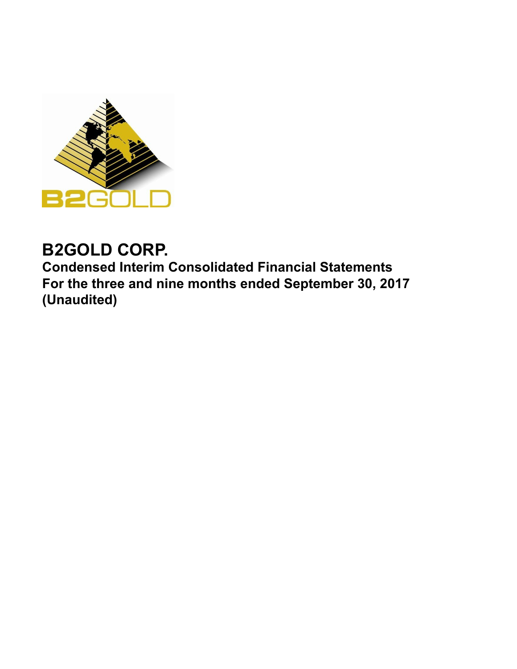

# **B2GOLD CORP.**

**Condensed Interim Consolidated Financial Statements For the three and nine months ended September 30, 2017 (Unaudited)**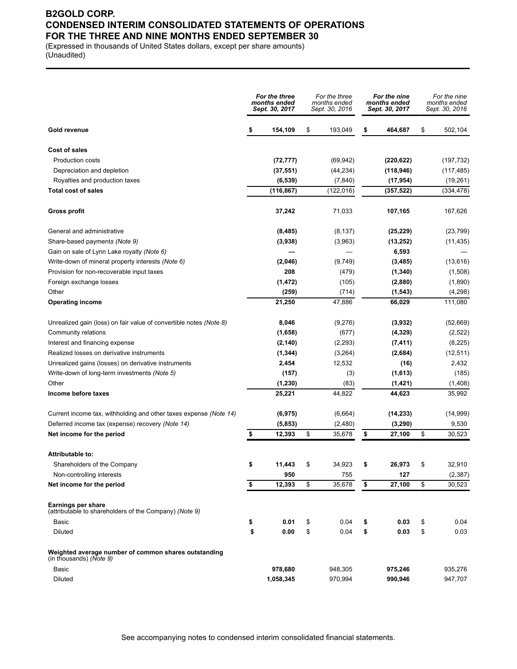### **B2GOLD CORP. CONDENSED INTERIM CONSOLIDATED STATEMENTS OF OPERATIONS FOR THE THREE AND NINE MONTHS ENDED SEPTEMBER 30**

(Expressed in thousands of United States dollars, except per share amounts) (Unaudited)

|                                                                                 |    | For the three<br>months ended<br>Sept. 30, 2017 |    | For the three<br>months ended<br>Sept. 30, 2016 |    | For the nine<br>months ended<br>Sept. 30, 2017 |    | For the nine<br>months ended<br>Sept. 30, 2016 |  |
|---------------------------------------------------------------------------------|----|-------------------------------------------------|----|-------------------------------------------------|----|------------------------------------------------|----|------------------------------------------------|--|
| Gold revenue                                                                    | \$ | 154,109                                         | \$ | 193,049                                         | \$ | 464,687                                        | \$ | 502,104                                        |  |
| <b>Cost of sales</b>                                                            |    |                                                 |    |                                                 |    |                                                |    |                                                |  |
| <b>Production costs</b>                                                         |    | (72, 777)                                       |    | (69, 942)                                       |    | (220, 622)                                     |    | (197, 732)                                     |  |
| Depreciation and depletion                                                      |    | (37, 551)                                       |    | (44, 234)                                       |    | (118, 946)                                     |    | (117, 485)                                     |  |
| Royalties and production taxes                                                  |    | (6, 539)                                        |    | (7, 840)                                        |    | (17, 954)                                      |    | (19,261)                                       |  |
| <b>Total cost of sales</b>                                                      |    | (116, 867)                                      |    | (122, 016)                                      |    | (357, 522)                                     |    | (334, 478)                                     |  |
| Gross profit                                                                    |    | 37,242                                          |    | 71,033                                          |    | 107,165                                        |    | 167,626                                        |  |
| General and administrative                                                      |    | (8, 485)                                        |    | (8, 137)                                        |    | (25, 229)                                      |    | (23, 799)                                      |  |
| Share-based payments (Note 9)                                                   |    | (3,938)                                         |    | (3,963)                                         |    | (13, 252)                                      |    | (11, 435)                                      |  |
| Gain on sale of Lynn Lake royalty (Note 6)                                      |    |                                                 |    |                                                 |    | 6,593                                          |    |                                                |  |
| Write-down of mineral property interests (Note 6)                               |    | (2,046)                                         |    | (9,749)                                         |    | (3, 485)                                       |    | (13,616)                                       |  |
| Provision for non-recoverable input taxes                                       |    | 208                                             |    | (479)                                           |    | (1, 340)                                       |    | (1,508)                                        |  |
| Foreign exchange losses                                                         |    | (1, 472)                                        |    | (105)                                           |    | (2,880)                                        |    | (1,890)                                        |  |
| Other                                                                           |    | (259)                                           |    | (714)                                           |    | (1, 543)                                       |    | (4,298)                                        |  |
| <b>Operating income</b>                                                         |    | 21,250                                          |    | 47,886                                          |    | 66,029                                         |    | 111,080                                        |  |
| Unrealized gain (loss) on fair value of convertible notes (Note 8)              |    | 8,046                                           |    | (9,276)                                         |    | (3,932)                                        |    | (52,669)                                       |  |
| Community relations                                                             |    | (1,658)                                         |    | (677)                                           |    | (4, 329)                                       |    | (2,522)                                        |  |
| Interest and financing expense                                                  |    | (2, 140)                                        |    | (2, 293)                                        |    | (7, 411)                                       |    | (8,225)                                        |  |
| Realized losses on derivative instruments                                       |    | (1, 344)                                        |    | (3,264)                                         |    | (2,684)                                        |    | (12, 511)                                      |  |
| Unrealized gains (losses) on derivative instruments                             |    | 2,454                                           |    | 12,532                                          |    | (16)                                           |    | 2,432                                          |  |
| Write-down of long-term investments (Note 5)                                    |    | (157)                                           |    | (3)                                             |    | (1,613)                                        |    | (185)                                          |  |
| Other                                                                           |    | (1, 230)                                        |    | (83)                                            |    | (1, 421)                                       |    | (1,408)                                        |  |
| Income before taxes                                                             |    | 25,221                                          |    | 44,822                                          |    | 44,623                                         |    | 35,992                                         |  |
| Current income tax, withholding and other taxes expense (Note 14)               |    | (6, 975)                                        |    | (6,664)                                         |    | (14, 233)                                      |    | (14, 999)                                      |  |
| Deferred income tax (expense) recovery (Note 14)                                |    | (5, 853)                                        |    | (2,480)                                         |    | (3, 290)                                       |    | 9,530                                          |  |
| Net income for the period                                                       | \$ | 12,393                                          | \$ | 35,678                                          | \$ | 27,100                                         | \$ | 30,523                                         |  |
| Attributable to:                                                                |    |                                                 |    |                                                 |    |                                                |    |                                                |  |
| Shareholders of the Company                                                     | \$ | 11,443                                          | \$ | 34,923                                          | \$ | 26,973                                         | \$ | 32,910                                         |  |
| Non-controlling interests                                                       |    | 950                                             |    | 755                                             |    | 127                                            |    | (2, 387)                                       |  |
| Net income for the period                                                       | \$ | 12,393                                          | \$ | 35,678                                          | \$ | 27,100                                         | \$ | 30,523                                         |  |
| Earnings per share<br>(attributable to shareholders of the Company) (Note 9)    |    |                                                 |    |                                                 |    |                                                |    |                                                |  |
| Basic                                                                           | \$ | 0.01                                            | \$ | 0.04                                            | \$ | 0.03                                           | \$ | 0.04                                           |  |
| Diluted                                                                         | \$ | 0.00                                            | \$ | 0.04                                            | \$ | 0.03                                           | \$ | 0.03                                           |  |
| Weighted average number of common shares outstanding<br>(in thousands) (Note 9) |    |                                                 |    |                                                 |    |                                                |    |                                                |  |
| Basic                                                                           |    | 978,680                                         |    | 948,305                                         |    | 975,246                                        |    | 935,276                                        |  |
| Diluted                                                                         |    | 1,058,345                                       |    | 970,994                                         |    | 990,946                                        |    | 947,707                                        |  |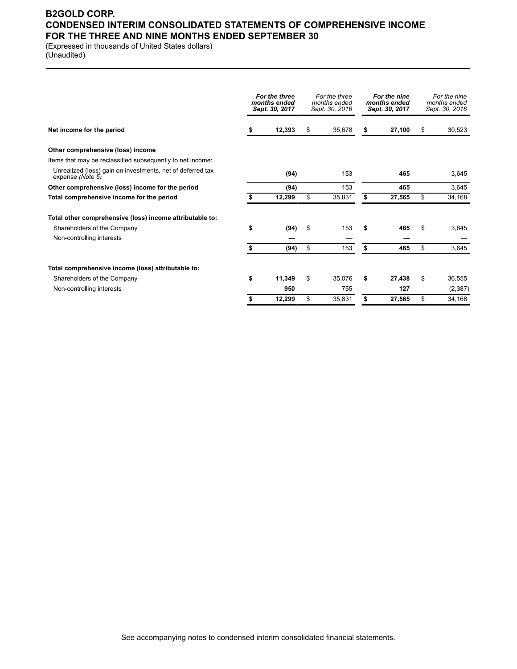### **B2GOLD CORP. CONDENSED INTERIM CONSOLIDATED STATEMENTS OF COMPREHENSIVE INCOME FOR THE THREE AND NINE MONTHS ENDED SEPTEMBER 30**

(Expressed in thousands of United States dollars) (Unaudited)

|                                                                                |    | For the three<br>months ended<br>Sept. 30, 2017 | For the three<br>months ended<br>Sept. 30, 2016 | For the nine<br>months ended<br>Sept. 30, 2017 | For the nine<br>months ended<br>Sept. 30, 2016 |
|--------------------------------------------------------------------------------|----|-------------------------------------------------|-------------------------------------------------|------------------------------------------------|------------------------------------------------|
| Net income for the period                                                      | 5  | 12,393                                          | \$<br>35,678                                    | \$<br>27,100                                   | \$<br>30,523                                   |
| Other comprehensive (loss) income                                              |    |                                                 |                                                 |                                                |                                                |
| Items that may be reclassified subsequently to net income:                     |    |                                                 |                                                 |                                                |                                                |
| Unrealized (loss) gain on investments, net of deferred tax<br>expense (Note 5) |    | (94)                                            | 153                                             | 465                                            | 3,645                                          |
| Other comprehensive (loss) income for the period                               |    | (94)                                            | 153                                             | 465                                            | 3,645                                          |
| Total comprehensive income for the period                                      |    | 12,299                                          | \$<br>35,831                                    | \$<br>27,565                                   | \$<br>34,168                                   |
| Total other comprehensive (loss) income attributable to:                       |    |                                                 |                                                 |                                                |                                                |
| Shareholders of the Company                                                    | \$ | (94)                                            | \$<br>153                                       | \$<br>465                                      | \$<br>3,645                                    |
| Non-controlling interests                                                      |    |                                                 |                                                 |                                                |                                                |
|                                                                                | \$ | (94)                                            | \$<br>153                                       | \$<br>465                                      | \$<br>3,645                                    |
| Total comprehensive income (loss) attributable to:                             |    |                                                 |                                                 |                                                |                                                |
| Shareholders of the Company                                                    | \$ | 11,349                                          | \$<br>35.076                                    | \$<br>27,438                                   | \$<br>36,555                                   |
| Non-controlling interests                                                      |    | 950                                             | 755                                             | 127                                            | (2, 387)                                       |
|                                                                                |    | 12,299                                          | \$<br>35,831                                    | \$<br>27,565                                   | \$<br>34,168                                   |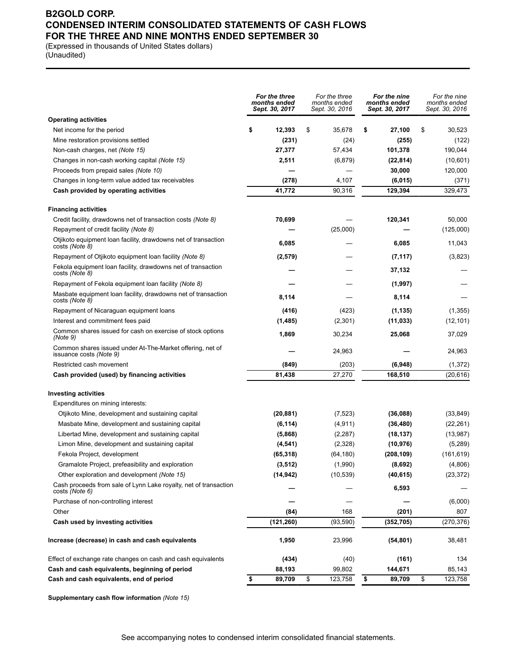### **B2GOLD CORP. CONDENSED INTERIM CONSOLIDATED STATEMENTS OF CASH FLOWS FOR THE THREE AND NINE MONTHS ENDED SEPTEMBER 30**

(Expressed in thousands of United States dollars) (Unaudited)

|                                                                                      | For the three<br>months ended<br>Sept. 30, 2017 | For the three<br>months ended<br>Sept. 30, 2016 | For the nine<br>months ended<br>Sept. 30, 2017 | For the nine<br>months ended<br>Sept. 30, 2016 |
|--------------------------------------------------------------------------------------|-------------------------------------------------|-------------------------------------------------|------------------------------------------------|------------------------------------------------|
| <b>Operating activities</b>                                                          |                                                 |                                                 |                                                |                                                |
| Net income for the period                                                            | \$<br>12,393                                    | \$<br>35,678                                    | 27,100<br>\$                                   | \$<br>30,523                                   |
| Mine restoration provisions settled                                                  | (231)                                           | (24)                                            | (255)                                          | (122)                                          |
| Non-cash charges, net (Note 15)                                                      | 27,377                                          | 57,434                                          | 101,378                                        | 190,044                                        |
| Changes in non-cash working capital (Note 15)                                        | 2,511                                           | (6, 879)                                        | (22, 814)                                      | (10,601)                                       |
| Proceeds from prepaid sales (Note 10)                                                |                                                 |                                                 | 30,000                                         | 120,000                                        |
| Changes in long-term value added tax receivables                                     | (278)                                           | 4,107                                           | (6,015)                                        | (371)                                          |
| Cash provided by operating activities                                                | 41,772                                          | 90,316                                          | 129,394                                        | 329,473                                        |
| <b>Financing activities</b>                                                          |                                                 |                                                 |                                                |                                                |
| Credit facility, drawdowns net of transaction costs (Note 8)                         | 70,699                                          |                                                 | 120,341                                        | 50,000                                         |
| Repayment of credit facility (Note 8)                                                |                                                 | (25,000)                                        |                                                | (125,000)                                      |
| Otjikoto equipment loan facility, drawdowns net of transaction<br>costs (Note 8)     | 6,085                                           |                                                 | 6,085                                          | 11,043                                         |
| Repayment of Otjikoto equipment loan facility (Note 8)                               | (2,579)                                         |                                                 | (7, 117)                                       | (3,823)                                        |
| Fekola equipment loan facility, drawdowns net of transaction<br>costs (Note 8)       |                                                 |                                                 | 37,132                                         |                                                |
| Repayment of Fekola equipment loan facility (Note 8)                                 |                                                 |                                                 | (1,997)                                        |                                                |
| Masbate equipment loan facility, drawdowns net of transaction<br>costs (Note 8)      | 8,114                                           |                                                 | 8,114                                          |                                                |
| Repayment of Nicaraguan equipment loans                                              | (416)                                           | (423)                                           | (1, 135)                                       | (1,355)                                        |
| Interest and commitment fees paid                                                    | (1,485)                                         | (2,301)                                         | (11, 033)                                      | (12, 101)                                      |
| Common shares issued for cash on exercise of stock options<br>(Note 9)               | 1,869                                           | 30,234                                          | 25,068                                         | 37,029                                         |
| Common shares issued under At-The-Market offering, net of<br>issuance costs (Note 9) |                                                 | 24,963                                          |                                                | 24,963                                         |
| Restricted cash movement                                                             | (849)                                           | (203)                                           | (6,948)                                        | (1, 372)                                       |
| Cash provided (used) by financing activities                                         | 81,438                                          | 27,270                                          | 168,510                                        | (20, 616)                                      |
| <b>Investing activities</b>                                                          |                                                 |                                                 |                                                |                                                |
| Expenditures on mining interests:                                                    |                                                 |                                                 |                                                |                                                |
| Otjikoto Mine, development and sustaining capital                                    | (20, 881)                                       | (7, 523)                                        | (36,088)                                       | (33, 849)                                      |
| Masbate Mine, development and sustaining capital                                     | (6, 114)                                        | (4, 911)                                        | (36, 480)                                      | (22, 261)                                      |
| Libertad Mine, development and sustaining capital                                    | (5,868)                                         | (2, 287)                                        | (18, 137)                                      | (13, 987)                                      |
| Limon Mine, development and sustaining capital                                       | (4, 541)                                        | (2,328)                                         | (10, 976)                                      | (5,289)                                        |
| Fekola Project, development                                                          | (65, 318)                                       | (64,180)                                        | (208,109)                                      | (161, 619)                                     |
| Gramalote Project, prefeasibility and exploration                                    | (3, 512)                                        | (1,990)                                         | (8,692)                                        | (4,806)                                        |
| Other exploration and development (Note 15)                                          | (14, 942)                                       | (10, 539)                                       | (40, 615)                                      | (23, 372)                                      |
| Cash proceeds from sale of Lynn Lake royalty, net of transaction<br>costs (Note 6)   |                                                 |                                                 | 6,593                                          |                                                |
| Purchase of non-controlling interest                                                 |                                                 |                                                 |                                                | (6,000)                                        |
| Other                                                                                | (84)                                            | 168                                             | (201)                                          | 807                                            |
| Cash used by investing activities                                                    | (121, 260)                                      | (93, 590)                                       | (352, 705)                                     | (270, 376)                                     |
| Increase (decrease) in cash and cash equivalents                                     | 1,950                                           | 23,996                                          | (54, 801)                                      | 38,481                                         |
| Effect of exchange rate changes on cash and cash equivalents                         | (434)                                           | (40)                                            | (161)                                          | 134                                            |
| Cash and cash equivalents, beginning of period                                       | 88,193                                          | 99,802                                          | 144,671                                        | 85,143                                         |
| Cash and cash equivalents, end of period                                             | \$<br>89,709                                    | \$<br>123,758                                   | \$<br>89,709                                   | \$<br>123,758                                  |

**Supplementary cash flow information** *(Note 15)*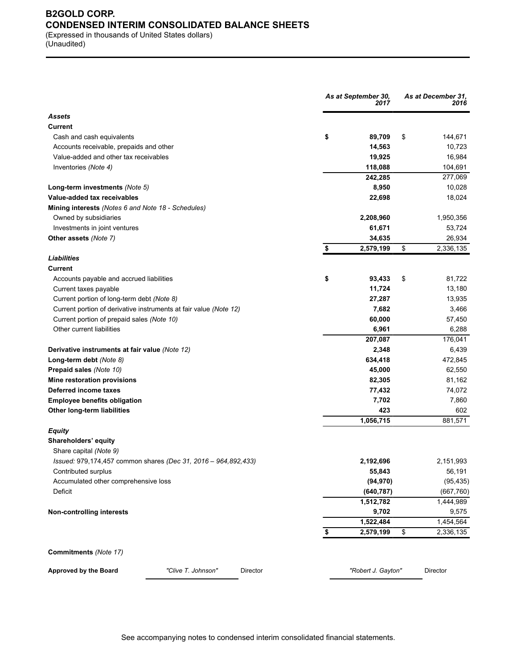### **B2GOLD CORP. CONDENSED INTERIM CONSOLIDATED BALANCE SHEETS** (Expressed in thousands of United States dollars)

(Unaudited)

|                                                                   | As at September 30,<br>2017 |    | As at December 31,<br>2016 |  |  |
|-------------------------------------------------------------------|-----------------------------|----|----------------------------|--|--|
| <b>Assets</b>                                                     |                             |    |                            |  |  |
| <b>Current</b>                                                    |                             |    |                            |  |  |
| Cash and cash equivalents                                         | \$<br>89,709                | \$ | 144,671                    |  |  |
| Accounts receivable, prepaids and other                           | 14,563                      |    | 10,723                     |  |  |
| Value-added and other tax receivables                             | 19,925                      |    | 16,984                     |  |  |
| Inventories (Note 4)                                              | 118,088                     |    | 104,691                    |  |  |
|                                                                   | 242,285                     |    | 277,069                    |  |  |
| Long-term investments (Note 5)                                    | 8,950                       |    | 10,028                     |  |  |
| Value-added tax receivables                                       | 22,698                      |    | 18,024                     |  |  |
| Mining interests (Notes 6 and Note 18 - Schedules)                |                             |    |                            |  |  |
| Owned by subsidiaries                                             | 2,208,960                   |    | 1,950,356                  |  |  |
| Investments in joint ventures                                     | 61,671                      |    | 53,724                     |  |  |
| Other assets (Note 7)                                             | 34,635                      |    | 26,934                     |  |  |
|                                                                   | \$<br>2,579,199             | \$ | 2,336,135                  |  |  |
| Liabilities                                                       |                             |    |                            |  |  |
| <b>Current</b>                                                    |                             |    |                            |  |  |
| Accounts payable and accrued liabilities                          | \$<br>93,433                | \$ | 81,722                     |  |  |
| Current taxes payable                                             | 11,724                      |    | 13,180                     |  |  |
| Current portion of long-term debt (Note 8)                        | 27,287                      |    | 13,935                     |  |  |
| Current portion of derivative instruments at fair value (Note 12) | 7,682                       |    | 3,466                      |  |  |
| Current portion of prepaid sales (Note 10)                        | 60,000                      |    | 57,450                     |  |  |
| Other current liabilities                                         | 6,961                       |    | 6,288                      |  |  |
|                                                                   | 207,087                     |    | 176,041                    |  |  |
| Derivative instruments at fair value (Note 12)                    | 2,348                       |    | 6,439                      |  |  |
|                                                                   |                             |    | 472,845                    |  |  |
| Long-term debt (Note 8)                                           | 634,418                     |    |                            |  |  |
| Prepaid sales (Note 10)                                           | 45,000                      |    | 62,550                     |  |  |
| Mine restoration provisions                                       | 82,305                      |    | 81,162                     |  |  |
| Deferred income taxes                                             | 77,432                      |    | 74,072                     |  |  |
| <b>Employee benefits obligation</b>                               | 7,702                       |    | 7,860                      |  |  |
| Other long-term liabilities                                       | 423                         |    | 602                        |  |  |
|                                                                   | 1,056,715                   |    | 881,571                    |  |  |
| <b>Equity</b>                                                     |                             |    |                            |  |  |
| Shareholders' equity                                              |                             |    |                            |  |  |
| Share capital (Note 9)                                            |                             |    |                            |  |  |
| Issued: 979,174,457 common shares (Dec 31, 2016 - 964,892,433)    | 2,192,696                   |    | 2,151,993                  |  |  |
| Contributed surplus                                               | 55,843                      |    | 56,191                     |  |  |
| Accumulated other comprehensive loss                              | (94, 970)                   |    | (95, 435)                  |  |  |
| Deficit                                                           | (640, 787)                  |    | (667, 760)                 |  |  |
|                                                                   | 1,512,782                   |    | 1,444,989                  |  |  |
| Non-controlling interests                                         | 9,702                       |    | 9,575                      |  |  |
|                                                                   | 1,522,484                   |    | 1,454,564                  |  |  |
|                                                                   | \$<br>2,579,199             | \$ | 2,336,135                  |  |  |
| Commitments (Note 17)                                             |                             |    |                            |  |  |
| Approved by the Board<br>"Clive T. Johnson"<br>Director           | "Robert J. Gayton"          |    | Director                   |  |  |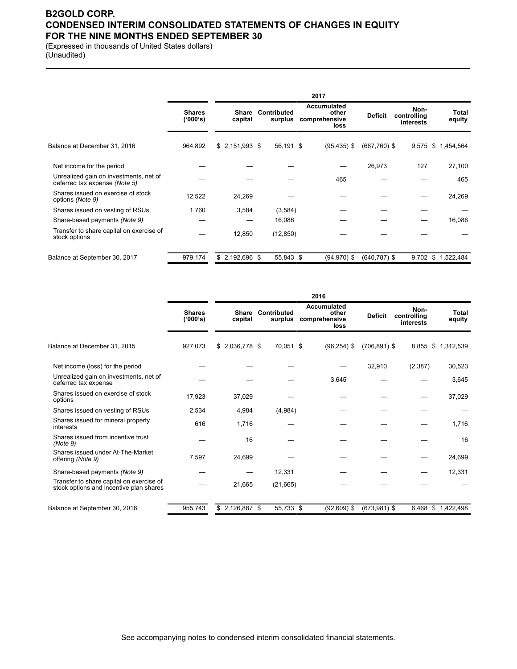### **B2GOLD CORP. CONDENSED INTERIM CONSOLIDATED STATEMENTS OF CHANGES IN EQUITY FOR THE NINE MONTHS ENDED SEPTEMBER 30**

(Expressed in thousands of United States dollars) (Unaudited)

|                                                                         |                           |                  |                        | 2017                                                 |                 |                                  |                    |
|-------------------------------------------------------------------------|---------------------------|------------------|------------------------|------------------------------------------------------|-----------------|----------------------------------|--------------------|
|                                                                         | <b>Shares</b><br>('000's) | Share<br>capital | Contributed<br>surplus | <b>Accumulated</b><br>other<br>comprehensive<br>loss | <b>Deficit</b>  | Non-<br>controlling<br>interests | Total<br>equity    |
| Balance at December 31, 2016                                            | 964,892                   | $$2,151,993$ \$  | 56,191 \$              | $(95, 435)$ \$                                       | $(667,760)$ \$  | 9,575                            | \$1,454,564        |
| Net income for the period                                               |                           |                  |                        |                                                      | 26,973          | 127                              | 27,100             |
| Unrealized gain on investments, net of<br>deferred tax expense (Note 5) |                           |                  |                        | 465                                                  |                 |                                  | 465                |
| Shares issued on exercise of stock<br>options (Note 9)                  | 12,522                    | 24,269           |                        |                                                      |                 |                                  | 24,269             |
| Shares issued on vesting of RSUs                                        | 1,760                     | 3,584            | (3,584)                |                                                      |                 |                                  |                    |
| Share-based payments (Note 9)                                           |                           |                  | 16,086                 |                                                      |                 |                                  | 16,086             |
| Transfer to share capital on exercise of<br>stock options               |                           | 12,850           | (12, 850)              |                                                      |                 |                                  |                    |
| Balance at September 30, 2017                                           | 979,174                   | $$2,192,696$ \$  | 55,843 \$              | $(94, 970)$ \$                                       | $(640, 787)$ \$ |                                  | 9,702 \$ 1,522,484 |

|                                                                                     |                           |                         |                        | 2016                                                 |                 |                                  |                   |
|-------------------------------------------------------------------------------------|---------------------------|-------------------------|------------------------|------------------------------------------------------|-----------------|----------------------------------|-------------------|
|                                                                                     | <b>Shares</b><br>('000's) | <b>Share</b><br>capital | Contributed<br>surplus | <b>Accumulated</b><br>other<br>comprehensive<br>loss | <b>Deficit</b>  | Non-<br>controlling<br>interests | Total<br>equity   |
| Balance at December 31, 2015                                                        | 927,073                   | $$2,036,778$ \$         | 70,051 \$              | $(96, 254)$ \$                                       | $(706, 891)$ \$ | 8.855                            | \$1,312,539       |
| Net income (loss) for the period                                                    |                           |                         |                        |                                                      | 32,910          | (2, 387)                         | 30,523            |
| Unrealized gain on investments, net of<br>deferred tax expense                      |                           |                         |                        | 3,645                                                |                 |                                  | 3,645             |
| Shares issued on exercise of stock<br>options                                       | 17,923                    | 37,029                  |                        |                                                      |                 |                                  | 37,029            |
| Shares issued on vesting of RSUs                                                    | 2,534                     | 4,984                   | (4,984)                |                                                      |                 |                                  |                   |
| Shares issued for mineral property<br>interests                                     | 616                       | 1,716                   |                        |                                                      |                 |                                  | 1,716             |
| Shares issued from incentive trust<br>(Note 9)                                      |                           | 16                      |                        |                                                      |                 |                                  | 16                |
| Shares issued under At-The-Market<br>offering (Note 9)                              | 7,597                     | 24,699                  |                        |                                                      |                 |                                  | 24,699            |
| Share-based payments (Note 9)                                                       |                           |                         | 12,331                 |                                                      |                 |                                  | 12,331            |
| Transfer to share capital on exercise of<br>stock options and incentive plan shares |                           | 21,665                  | (21,665)               |                                                      |                 |                                  |                   |
| Balance at September 30, 2016                                                       | 955,743                   | $$2,126,887$ \$         | 55,733 \$              | $(92,609)$ \$                                        | $(673,981)$ \$  |                                  | 6,468 \$1,422,498 |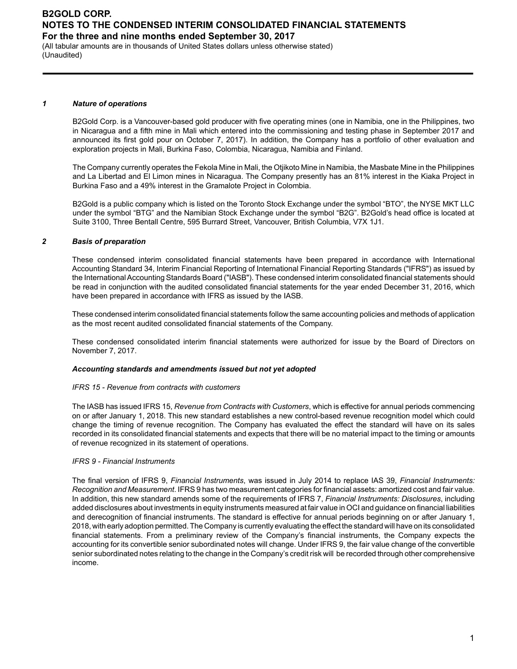(All tabular amounts are in thousands of United States dollars unless otherwise stated) (Unaudited)

#### *1 Nature of operations*

B2Gold Corp. is a Vancouver-based gold producer with five operating mines (one in Namibia, one in the Philippines, two in Nicaragua and a fifth mine in Mali which entered into the commissioning and testing phase in September 2017 and announced its first gold pour on October 7, 2017). In addition, the Company has a portfolio of other evaluation and exploration projects in Mali, Burkina Faso, Colombia, Nicaragua, Namibia and Finland.

The Company currently operates the Fekola Mine in Mali, the Otjikoto Mine in Namibia, the Masbate Mine in the Philippines and La Libertad and El Limon mines in Nicaragua. The Company presently has an 81% interest in the Kiaka Project in Burkina Faso and a 49% interest in the Gramalote Project in Colombia.

B2Gold is a public company which is listed on the Toronto Stock Exchange under the symbol "BTO", the NYSE MKT LLC under the symbol "BTG" and the Namibian Stock Exchange under the symbol "B2G". B2Gold's head office is located at Suite 3100, Three Bentall Centre, 595 Burrard Street, Vancouver, British Columbia, V7X 1J1.

#### *2 Basis of preparation*

These condensed interim consolidated financial statements have been prepared in accordance with International Accounting Standard 34, Interim Financial Reporting of International Financial Reporting Standards ("IFRS") as issued by the International Accounting Standards Board ("IASB"). These condensed interim consolidated financial statements should be read in conjunction with the audited consolidated financial statements for the year ended December 31, 2016, which have been prepared in accordance with IFRS as issued by the IASB.

These condensed interim consolidated financial statements follow the same accounting policies and methods of application as the most recent audited consolidated financial statements of the Company.

These condensed consolidated interim financial statements were authorized for issue by the Board of Directors on November 7, 2017.

#### *Accounting standards and amendments issued but not yet adopted*

#### *IFRS 15 - Revenue from contracts with customers*

The IASB has issued IFRS 15, *Revenue from Contracts with Customers*, which is effective for annual periods commencing on or after January 1, 2018. This new standard establishes a new control-based revenue recognition model which could change the timing of revenue recognition. The Company has evaluated the effect the standard will have on its sales recorded in its consolidated financial statements and expects that there will be no material impact to the timing or amounts of revenue recognized in its statement of operations.

#### *IFRS 9 - Financial Instruments*

The final version of IFRS 9, *Financial Instruments*, was issued in July 2014 to replace IAS 39, *Financial Instruments: Recognition and Measurement*. IFRS 9 has two measurement categories for financial assets: amortized cost and fair value. In addition, this new standard amends some of the requirements of IFRS 7, *Financial Instruments: Disclosures*, including added disclosures about investments in equity instruments measured at fair value in OCI and guidance on financial liabilities and derecognition of financial instruments. The standard is effective for annual periods beginning on or after January 1, 2018, with early adoption permitted. The Company is currently evaluating the effect the standard will have on its consolidated financial statements. From a preliminary review of the Company's financial instruments, the Company expects the accounting for its convertible senior subordinated notes will change. Under IFRS 9, the fair value change of the convertible senior subordinated notes relating to the change in the Company's credit risk will be recorded through other comprehensive income.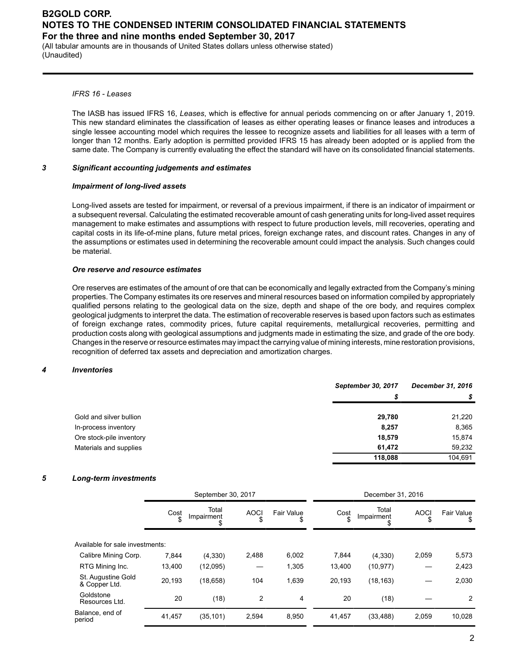(All tabular amounts are in thousands of United States dollars unless otherwise stated) (Unaudited)

#### *IFRS 16 - Leases*

The IASB has issued IFRS 16, *Leases*, which is effective for annual periods commencing on or after January 1, 2019. This new standard eliminates the classification of leases as either operating leases or finance leases and introduces a single lessee accounting model which requires the lessee to recognize assets and liabilities for all leases with a term of longer than 12 months. Early adoption is permitted provided IFRS 15 has already been adopted or is applied from the same date. The Company is currently evaluating the effect the standard will have on its consolidated financial statements.

#### *3 Significant accounting judgements and estimates*

#### *Impairment of long-lived assets*

Long-lived assets are tested for impairment, or reversal of a previous impairment, if there is an indicator of impairment or a subsequent reversal. Calculating the estimated recoverable amount of cash generating units for long-lived asset requires management to make estimates and assumptions with respect to future production levels, mill recoveries, operating and capital costs in its life-of-mine plans, future metal prices, foreign exchange rates, and discount rates. Changes in any of the assumptions or estimates used in determining the recoverable amount could impact the analysis. Such changes could be material.

#### *Ore reserve and resource estimates*

Ore reserves are estimates of the amount of ore that can be economically and legally extracted from the Company's mining properties. The Company estimates its ore reserves and mineral resources based on information compiled by appropriately qualified persons relating to the geological data on the size, depth and shape of the ore body, and requires complex geological judgments to interpret the data. The estimation of recoverable reserves is based upon factors such as estimates of foreign exchange rates, commodity prices, future capital requirements, metallurgical recoveries, permitting and production costs along with geological assumptions and judgments made in estimating the size, and grade of the ore body. Changes in the reserve or resource estimates may impact the carrying value of mining interests, mine restoration provisions, recognition of deferred tax assets and depreciation and amortization charges.

#### *4 Inventories*

|                          | September 30, 2017 | December 31, 2016 |
|--------------------------|--------------------|-------------------|
|                          | S                  |                   |
| Gold and silver bullion  | 29,780             | 21,220            |
| In-process inventory     | 8,257              | 8,365             |
| Ore stock-pile inventory | 18,579             | 15,874            |
| Materials and supplies   | 61.472             | 59,232            |
|                          | 118,088            | 104.691           |

#### *5 Long-term investments*

|                                     | September 30, 2017 |                     |             |                        | December 31, 2016 |                     |                   |                 |
|-------------------------------------|--------------------|---------------------|-------------|------------------------|-------------------|---------------------|-------------------|-----------------|
|                                     | Cost               | Total<br>Impairment | <b>AOCI</b> | <b>Fair Value</b><br>S | Cost<br>\$        | Total<br>Impairment | <b>AOCI</b><br>\$ | Fair Value<br>S |
| Available for sale investments:     |                    |                     |             |                        |                   |                     |                   |                 |
| Calibre Mining Corp.                | 7.844              | (4,330)             | 2,488       | 6,002                  | 7,844             | (4,330)             | 2,059             | 5,573           |
| RTG Mining Inc.                     | 13,400             | (12,095)            |             | 1,305                  | 13,400            | (10, 977)           |                   | 2,423           |
| St. Augustine Gold<br>& Copper Ltd. | 20,193             | (18, 658)           | 104         | 1,639                  | 20,193            | (18, 163)           |                   | 2,030           |
| Goldstone<br>Resources Ltd.         | 20                 | (18)                | 2           | 4                      | 20                | (18)                |                   | $\overline{2}$  |
| Balance, end of<br>period           | 41,457             | (35, 101)           | 2,594       | 8,950                  | 41,457            | (33, 488)           | 2,059             | 10,028          |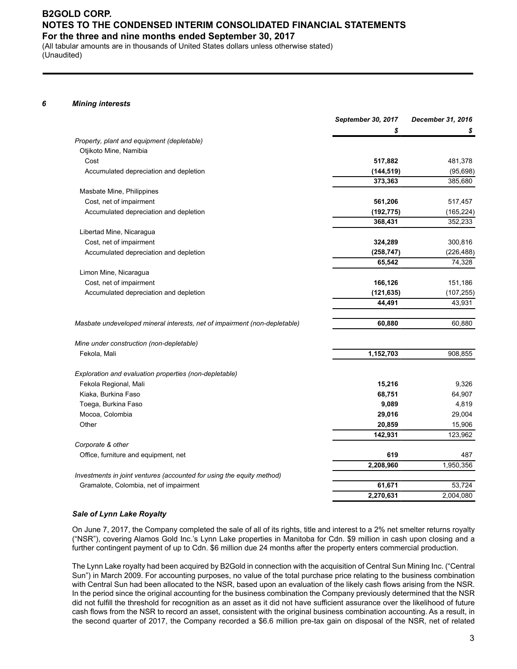(All tabular amounts are in thousands of United States dollars unless otherwise stated) (Unaudited)

#### *6 Mining interests*

|                                                                           | September 30, 2017 | December 31, 2016 |
|---------------------------------------------------------------------------|--------------------|-------------------|
|                                                                           | \$                 | \$                |
| Property, plant and equipment (depletable)                                |                    |                   |
| Otjikoto Mine, Namibia                                                    |                    |                   |
| Cost                                                                      | 517,882            | 481,378           |
| Accumulated depreciation and depletion                                    | (144, 519)         | (95, 698)         |
|                                                                           | 373,363            | 385,680           |
| Masbate Mine, Philippines                                                 |                    |                   |
| Cost, net of impairment                                                   | 561,206            | 517,457           |
| Accumulated depreciation and depletion                                    | (192, 775)         | (165, 224)        |
|                                                                           | 368,431            | 352,233           |
| Libertad Mine, Nicaragua                                                  |                    |                   |
| Cost, net of impairment                                                   | 324,289            | 300,816           |
| Accumulated depreciation and depletion                                    | (258, 747)         | (226, 488)        |
|                                                                           | 65,542             | 74,328            |
| Limon Mine, Nicaragua                                                     |                    |                   |
| Cost, net of impairment                                                   | 166,126            | 151,186           |
| Accumulated depreciation and depletion                                    | (121, 635)         | (107, 255)        |
|                                                                           | 44,491             | 43,931            |
| Masbate undeveloped mineral interests, net of impairment (non-depletable) | 60,880             | 60,880            |
| Mine under construction (non-depletable)                                  |                    |                   |
| Fekola, Mali                                                              | 1,152,703          | 908,855           |
| Exploration and evaluation properties (non-depletable)                    |                    |                   |
| Fekola Regional, Mali                                                     | 15,216             | 9,326             |
| Kiaka, Burkina Faso                                                       | 68,751             | 64,907            |
| Toega, Burkina Faso                                                       | 9,089              | 4,819             |
| Mocoa, Colombia                                                           | 29,016             | 29,004            |
| Other                                                                     | 20,859             | 15,906            |
|                                                                           | 142,931            | 123,962           |
| Corporate & other                                                         |                    |                   |
| Office, furniture and equipment, net                                      | 619                | 487               |
|                                                                           | 2,208,960          | 1,950,356         |
| Investments in joint ventures (accounted for using the equity method)     |                    |                   |
| Gramalote, Colombia, net of impairment                                    | 61,671             | 53,724            |
|                                                                           | 2,270,631          | 2,004,080         |

#### *Sale of Lynn Lake Royalty*

On June 7, 2017, the Company completed the sale of all of its rights, title and interest to a 2% net smelter returns royalty ("NSR"), covering Alamos Gold Inc.'s Lynn Lake properties in Manitoba for Cdn. \$9 million in cash upon closing and a further contingent payment of up to Cdn. \$6 million due 24 months after the property enters commercial production.

The Lynn Lake royalty had been acquired by B2Gold in connection with the acquisition of Central Sun Mining Inc. ("Central Sun") in March 2009. For accounting purposes, no value of the total purchase price relating to the business combination with Central Sun had been allocated to the NSR, based upon an evaluation of the likely cash flows arising from the NSR. In the period since the original accounting for the business combination the Company previously determined that the NSR did not fulfill the threshold for recognition as an asset as it did not have sufficient assurance over the likelihood of future cash flows from the NSR to record an asset, consistent with the original business combination accounting. As a result, in the second quarter of 2017, the Company recorded a \$6.6 million pre-tax gain on disposal of the NSR, net of related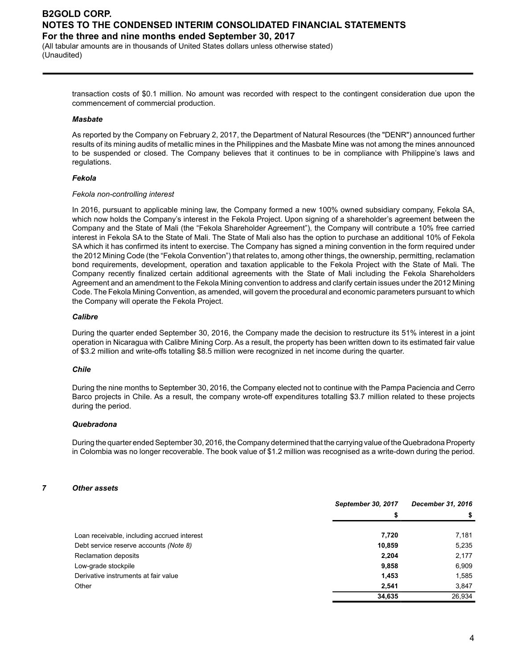(All tabular amounts are in thousands of United States dollars unless otherwise stated) (Unaudited)

> transaction costs of \$0.1 million. No amount was recorded with respect to the contingent consideration due upon the commencement of commercial production.

#### *Masbate*

As reported by the Company on February 2, 2017, the Department of Natural Resources (the "DENR") announced further results of its mining audits of metallic mines in the Philippines and the Masbate Mine was not among the mines announced to be suspended or closed. The Company believes that it continues to be in compliance with Philippine's laws and regulations.

#### *Fekola*

#### *Fekola non-controlling interest*

In 2016, pursuant to applicable mining law, the Company formed a new 100% owned subsidiary company, Fekola SA, which now holds the Company's interest in the Fekola Project. Upon signing of a shareholder's agreement between the Company and the State of Mali (the "Fekola Shareholder Agreement"), the Company will contribute a 10% free carried interest in Fekola SA to the State of Mali. The State of Mali also has the option to purchase an additional 10% of Fekola SA which it has confirmed its intent to exercise. The Company has signed a mining convention in the form required under the 2012 Mining Code (the "Fekola Convention") that relates to, among other things, the ownership, permitting, reclamation bond requirements, development, operation and taxation applicable to the Fekola Project with the State of Mali. The Company recently finalized certain additional agreements with the State of Mali including the Fekola Shareholders Agreement and an amendment to the Fekola Mining convention to address and clarify certain issues under the 2012 Mining Code. The Fekola Mining Convention, as amended, will govern the procedural and economic parameters pursuant to which the Company will operate the Fekola Project.

#### *Calibre*

During the quarter ended September 30, 2016, the Company made the decision to restructure its 51% interest in a joint operation in Nicaragua with Calibre Mining Corp. As a result, the property has been written down to its estimated fair value of \$3.2 million and write-offs totalling \$8.5 million were recognized in net income during the quarter.

#### *Chile*

During the nine months to September 30, 2016, the Company elected not to continue with the Pampa Paciencia and Cerro Barco projects in Chile. As a result, the company wrote-off expenditures totalling \$3.7 million related to these projects during the period.

#### *Quebradona*

During the quarter ended September 30, 2016, the Company determined that the carrying value of the Quebradona Property in Colombia was no longer recoverable. The book value of \$1.2 million was recognised as a write-down during the period.

#### *7 Other assets*

|                                             | September 30, 2017 | December 31, 2016 |
|---------------------------------------------|--------------------|-------------------|
|                                             | S                  |                   |
| Loan receivable, including accrued interest | 7,720              | 7,181             |
| Debt service reserve accounts (Note 8)      | 10,859             | 5,235             |
| <b>Reclamation deposits</b>                 | 2,204              | 2,177             |
| Low-grade stockpile                         | 9,858              | 6,909             |
| Derivative instruments at fair value        | 1,453              | 1,585             |
| Other                                       | 2,541              | 3,847             |
|                                             | 34,635             | 26,934            |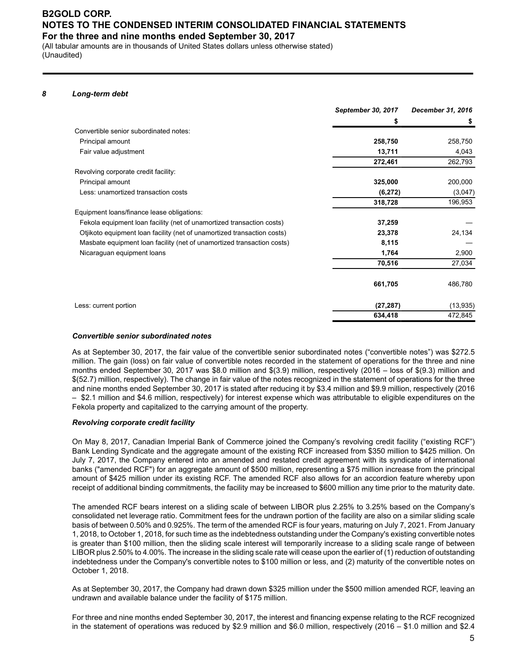(All tabular amounts are in thousands of United States dollars unless otherwise stated) (Unaudited)

#### *8 Long-term debt*

| \$<br>5<br>Convertible senior subordinated notes:<br>258,750<br>Principal amount<br>258,750<br>13,711<br>4,043<br>Fair value adjustment<br>262,793<br>272,461<br>Revolving corporate credit facility:<br>Principal amount<br>325,000<br>200,000<br>Less: unamortized transaction costs<br>(6, 272)<br>196,953<br>318,728<br>Equipment loans/finance lease obligations:<br>Fekola equipment loan facility (net of unamortized transaction costs)<br>37,259<br>24,134<br>Otjikoto equipment loan facility (net of unamortized transaction costs)<br>23,378<br>8,115<br>Masbate equipment loan facility (net of unamortized transaction costs)<br>2,900<br>Nicaraguan equipment loans<br>1,764<br>70,516<br>27,034<br>486,780<br>661,705<br>Less: current portion<br>(27, 287)<br>634,418<br>472,845 | September 30, 2017 | December 31, 2016 |
|---------------------------------------------------------------------------------------------------------------------------------------------------------------------------------------------------------------------------------------------------------------------------------------------------------------------------------------------------------------------------------------------------------------------------------------------------------------------------------------------------------------------------------------------------------------------------------------------------------------------------------------------------------------------------------------------------------------------------------------------------------------------------------------------------|--------------------|-------------------|
|                                                                                                                                                                                                                                                                                                                                                                                                                                                                                                                                                                                                                                                                                                                                                                                                   |                    |                   |
|                                                                                                                                                                                                                                                                                                                                                                                                                                                                                                                                                                                                                                                                                                                                                                                                   |                    |                   |
|                                                                                                                                                                                                                                                                                                                                                                                                                                                                                                                                                                                                                                                                                                                                                                                                   |                    |                   |
|                                                                                                                                                                                                                                                                                                                                                                                                                                                                                                                                                                                                                                                                                                                                                                                                   |                    |                   |
|                                                                                                                                                                                                                                                                                                                                                                                                                                                                                                                                                                                                                                                                                                                                                                                                   |                    |                   |
|                                                                                                                                                                                                                                                                                                                                                                                                                                                                                                                                                                                                                                                                                                                                                                                                   |                    |                   |
|                                                                                                                                                                                                                                                                                                                                                                                                                                                                                                                                                                                                                                                                                                                                                                                                   |                    |                   |
|                                                                                                                                                                                                                                                                                                                                                                                                                                                                                                                                                                                                                                                                                                                                                                                                   |                    | (3,047)           |
|                                                                                                                                                                                                                                                                                                                                                                                                                                                                                                                                                                                                                                                                                                                                                                                                   |                    |                   |
|                                                                                                                                                                                                                                                                                                                                                                                                                                                                                                                                                                                                                                                                                                                                                                                                   |                    |                   |
|                                                                                                                                                                                                                                                                                                                                                                                                                                                                                                                                                                                                                                                                                                                                                                                                   |                    |                   |
|                                                                                                                                                                                                                                                                                                                                                                                                                                                                                                                                                                                                                                                                                                                                                                                                   |                    |                   |
|                                                                                                                                                                                                                                                                                                                                                                                                                                                                                                                                                                                                                                                                                                                                                                                                   |                    |                   |
|                                                                                                                                                                                                                                                                                                                                                                                                                                                                                                                                                                                                                                                                                                                                                                                                   |                    |                   |
|                                                                                                                                                                                                                                                                                                                                                                                                                                                                                                                                                                                                                                                                                                                                                                                                   |                    |                   |
|                                                                                                                                                                                                                                                                                                                                                                                                                                                                                                                                                                                                                                                                                                                                                                                                   |                    |                   |
|                                                                                                                                                                                                                                                                                                                                                                                                                                                                                                                                                                                                                                                                                                                                                                                                   |                    | (13, 935)         |
|                                                                                                                                                                                                                                                                                                                                                                                                                                                                                                                                                                                                                                                                                                                                                                                                   |                    |                   |

#### *Convertible senior subordinated notes*

As at September 30, 2017, the fair value of the convertible senior subordinated notes ("convertible notes") was \$272.5 million. The gain (loss) on fair value of convertible notes recorded in the statement of operations for the three and nine months ended September 30, 2017 was \$8.0 million and \$(3.9) million, respectively (2016 – loss of \$(9.3) million and \$(52.7) million, respectively). The change in fair value of the notes recognized in the statement of operations for the three and nine months ended September 30, 2017 is stated after reducing it by \$3.4 million and \$9.9 million, respectively (2016 – \$2.1 million and \$4.6 million, respectively) for interest expense which was attributable to eligible expenditures on the Fekola property and capitalized to the carrying amount of the property.

#### *Revolving corporate credit facility*

On May 8, 2017, Canadian Imperial Bank of Commerce joined the Company's revolving credit facility ("existing RCF") Bank Lending Syndicate and the aggregate amount of the existing RCF increased from \$350 million to \$425 million. On July 7, 2017, the Company entered into an amended and restated credit agreement with its syndicate of international banks ("amended RCF") for an aggregate amount of \$500 million, representing a \$75 million increase from the principal amount of \$425 million under its existing RCF. The amended RCF also allows for an accordion feature whereby upon receipt of additional binding commitments, the facility may be increased to \$600 million any time prior to the maturity date.

The amended RCF bears interest on a sliding scale of between LIBOR plus 2.25% to 3.25% based on the Company's consolidated net leverage ratio. Commitment fees for the undrawn portion of the facility are also on a similar sliding scale basis of between 0.50% and 0.925%. The term of the amended RCF is four years, maturing on July 7, 2021. From January 1, 2018, to October 1, 2018, for such time as the indebtedness outstanding under the Company's existing convertible notes is greater than \$100 million, then the sliding scale interest will temporarily increase to a sliding scale range of between LIBOR plus 2.50% to 4.00%. The increase in the sliding scale rate will cease upon the earlier of (1) reduction of outstanding indebtedness under the Company's convertible notes to \$100 million or less, and (2) maturity of the convertible notes on October 1, 2018.

As at September 30, 2017, the Company had drawn down \$325 million under the \$500 million amended RCF, leaving an undrawn and available balance under the facility of \$175 million.

For three and nine months ended September 30, 2017, the interest and financing expense relating to the RCF recognized in the statement of operations was reduced by \$2.9 million and \$6.0 million, respectively (2016 – \$1.0 million and \$2.4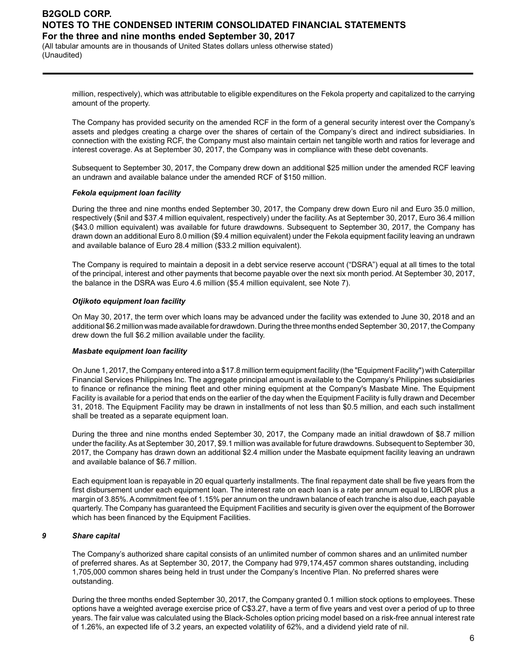(All tabular amounts are in thousands of United States dollars unless otherwise stated) (Unaudited)

> million, respectively), which was attributable to eligible expenditures on the Fekola property and capitalized to the carrying amount of the property.

> The Company has provided security on the amended RCF in the form of a general security interest over the Company's assets and pledges creating a charge over the shares of certain of the Company's direct and indirect subsidiaries. In connection with the existing RCF, the Company must also maintain certain net tangible worth and ratios for leverage and interest coverage. As at September 30, 2017, the Company was in compliance with these debt covenants.

> Subsequent to September 30, 2017, the Company drew down an additional \$25 million under the amended RCF leaving an undrawn and available balance under the amended RCF of \$150 million.

#### *Fekola equipment loan facility*

During the three and nine months ended September 30, 2017, the Company drew down Euro nil and Euro 35.0 million, respectively (\$nil and \$37.4 million equivalent, respectively) under the facility. As at September 30, 2017, Euro 36.4 million (\$43.0 million equivalent) was available for future drawdowns. Subsequent to September 30, 2017, the Company has drawn down an additional Euro 8.0 million (\$9.4 million equivalent) under the Fekola equipment facility leaving an undrawn and available balance of Euro 28.4 million (\$33.2 million equivalent).

The Company is required to maintain a deposit in a debt service reserve account ("DSRA") equal at all times to the total of the principal, interest and other payments that become payable over the next six month period. At September 30, 2017, the balance in the DSRA was Euro 4.6 million (\$5.4 million equivalent, see Note 7).

#### *Otjikoto equipment loan facility*

On May 30, 2017, the term over which loans may be advanced under the facility was extended to June 30, 2018 and an additional \$6.2 million was made available for drawdown. During the three months ended September 30, 2017, the Company drew down the full \$6.2 million available under the facility.

#### *Masbate equipment loan facility*

On June 1, 2017, the Company entered into a \$17.8 million term equipment facility (the "Equipment Facility") with Caterpillar Financial Services Philippines Inc. The aggregate principal amount is available to the Company's Philippines subsidiaries to finance or refinance the mining fleet and other mining equipment at the Company's Masbate Mine. The Equipment Facility is available for a period that ends on the earlier of the day when the Equipment Facility is fully drawn and December 31, 2018. The Equipment Facility may be drawn in installments of not less than \$0.5 million, and each such installment shall be treated as a separate equipment loan.

During the three and nine months ended September 30, 2017, the Company made an initial drawdown of \$8.7 million under the facility. As at September 30, 2017, \$9.1 million was available for future drawdowns. Subsequent to September 30, 2017, the Company has drawn down an additional \$2.4 million under the Masbate equipment facility leaving an undrawn and available balance of \$6.7 million.

Each equipment loan is repayable in 20 equal quarterly installments. The final repayment date shall be five years from the first disbursement under each equipment loan. The interest rate on each loan is a rate per annum equal to LIBOR plus a margin of 3.85%. Acommitment fee of 1.15% per annum on the undrawn balance of each tranche is also due, each payable quarterly. The Company has guaranteed the Equipment Facilities and security is given over the equipment of the Borrower which has been financed by the Equipment Facilities.

#### *9 Share capital*

The Company's authorized share capital consists of an unlimited number of common shares and an unlimited number of preferred shares. As at September 30, 2017, the Company had 979,174,457 common shares outstanding, including 1,705,000 common shares being held in trust under the Company's Incentive Plan. No preferred shares were outstanding.

During the three months ended September 30, 2017, the Company granted 0.1 million stock options to employees. These options have a weighted average exercise price of C\$3.27, have a term of five years and vest over a period of up to three years. The fair value was calculated using the Black-Scholes option pricing model based on a risk-free annual interest rate of 1.26%, an expected life of 3.2 years, an expected volatility of 62%, and a dividend yield rate of nil.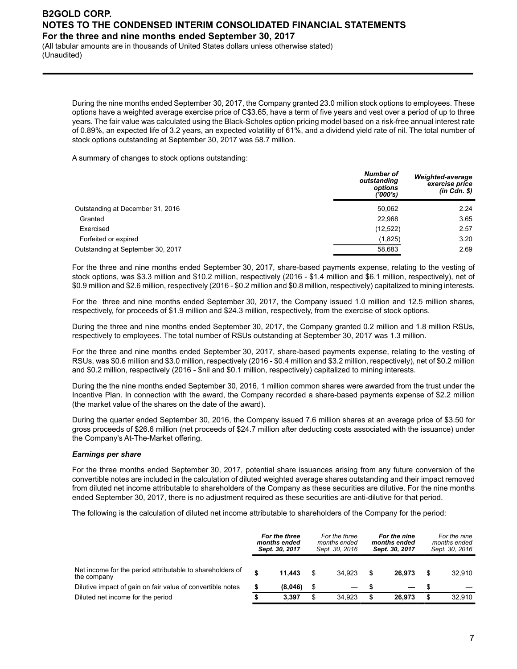(All tabular amounts are in thousands of United States dollars unless otherwise stated) (Unaudited)

During the nine months ended September 30, 2017, the Company granted 23.0 million stock options to employees. These options have a weighted average exercise price of C\$3.65, have a term of five years and vest over a period of up to three years. The fair value was calculated using the Black-Scholes option pricing model based on a risk-free annual interest rate of 0.89%, an expected life of 3.2 years, an expected volatility of 61%, and a dividend yield rate of nil. The total number of stock options outstanding at September 30, 2017 was 58.7 million.

A summary of changes to stock options outstanding:

| <b>Number of</b><br>outstanding<br>options<br>('000's) | Weighted-average<br>exercise price<br>$(in$ $Cdn$ . $\$ |
|--------------------------------------------------------|---------------------------------------------------------|
| 50,062                                                 | 2.24                                                    |
| 22,968                                                 | 3.65                                                    |
| (12, 522)                                              | 2.57                                                    |
| (1,825)                                                | 3.20                                                    |
| 58,683                                                 | 2.69                                                    |
|                                                        |                                                         |

For the three and nine months ended September 30, 2017, share-based payments expense, relating to the vesting of stock options, was \$3.3 million and \$10.2 million, respectively (2016 - \$1.4 million and \$6.1 million, respectively), net of \$0.9 million and \$2.6 million, respectively (2016 - \$0.2 million and \$0.8 million, respectively) capitalized to mining interests.

For the three and nine months ended September 30, 2017, the Company issued 1.0 million and 12.5 million shares, respectively, for proceeds of \$1.9 million and \$24.3 million, respectively, from the exercise of stock options.

During the three and nine months ended September 30, 2017, the Company granted 0.2 million and 1.8 million RSUs, respectively to employees. The total number of RSUs outstanding at September 30, 2017 was 1.3 million.

For the three and nine months ended September 30, 2017, share-based payments expense, relating to the vesting of RSUs, was \$0.6 million and \$3.0 million, respectively (2016 - \$0.4 million and \$3.2 million, respectively), net of \$0.2 million and \$0.2 million, respectively (2016 - \$nil and \$0.1 million, respectively) capitalized to mining interests.

During the the nine months ended September 30, 2016, 1 million common shares were awarded from the trust under the Incentive Plan. In connection with the award, the Company recorded a share-based payments expense of \$2.2 million (the market value of the shares on the date of the award).

During the quarter ended September 30, 2016, the Company issued 7.6 million shares at an average price of \$3.50 for gross proceeds of \$26.6 million (net proceeds of \$24.7 million after deducting costs associated with the issuance) under the Company's At-The-Market offering.

#### *Earnings per share*

For the three months ended September 30, 2017, potential share issuances arising from any future conversion of the convertible notes are included in the calculation of diluted weighted average shares outstanding and their impact removed from diluted net income attributable to shareholders of the Company as these securities are dilutive. For the nine months ended September 30, 2017, there is no adjustment required as these securities are anti-dilutive for that period.

The following is the calculation of diluted net income attributable to shareholders of the Company for the period:

|                                                                          | For the three<br>months ended<br>Sept. 30, 2017 | For the three<br>months ended<br>Sept. 30, 2016 | For the nine<br>months ended<br>Sept. 30, 2017 |      | For the nine<br>months ended<br>Sept. 30, 2016 |
|--------------------------------------------------------------------------|-------------------------------------------------|-------------------------------------------------|------------------------------------------------|------|------------------------------------------------|
| Net income for the period attributable to shareholders of<br>the company | \$<br>11.443                                    | 34.923                                          | 26.973                                         | \$   | 32.910                                         |
| Dilutive impact of gain on fair value of convertible notes               | \$<br>(8,046)                                   |                                                 |                                                | - \$ |                                                |
| Diluted net income for the period                                        | 3.397                                           | 34.923                                          | 26.973                                         | \$   | 32.910                                         |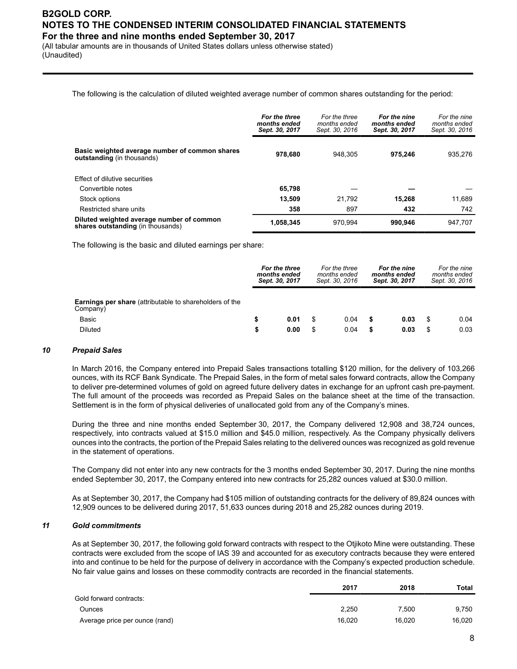(All tabular amounts are in thousands of United States dollars unless otherwise stated) (Unaudited)

The following is the calculation of diluted weighted average number of common shares outstanding for the period:

|                                                                                     | For the three<br>months ended<br>Sept. 30, 2017 | For the three<br>months ended<br>Sept. 30, 2016 | For the nine<br>months ended<br>Sept. 30, 2017 | For the nine<br>months ended<br>Sept. 30, 2016 |
|-------------------------------------------------------------------------------------|-------------------------------------------------|-------------------------------------------------|------------------------------------------------|------------------------------------------------|
| Basic weighted average number of common shares<br><b>outstanding</b> (in thousands) | 978.680                                         | 948.305                                         | 975.246                                        | 935.276                                        |
| Effect of dilutive securities                                                       |                                                 |                                                 |                                                |                                                |
| Convertible notes                                                                   | 65,798                                          |                                                 |                                                |                                                |
| Stock options                                                                       | 13,509                                          | 21.792                                          | 15.268                                         | 11.689                                         |
| Restricted share units                                                              | 358                                             | 897                                             | 432                                            | 742                                            |
| Diluted weighted average number of common<br>shares outstanding (in thousands)      | 1,058,345                                       | 970.994                                         | 990.946                                        | 947.707                                        |

The following is the basic and diluted earnings per share:

|                                                                            | For the three<br>months ended<br>Sept. 30, 2017 |      | For the three<br>months ended<br>Sept. 30, 2016 |      | For the nine<br>months ended<br>Sept. 30, 2017 |      | For the nine<br>months ended<br>Sept. 30, 2016 |      |
|----------------------------------------------------------------------------|-------------------------------------------------|------|-------------------------------------------------|------|------------------------------------------------|------|------------------------------------------------|------|
| <b>Earnings per share</b> (attributable to shareholders of the<br>Company) |                                                 |      |                                                 |      |                                                |      |                                                |      |
| Basic                                                                      | \$                                              | 0.01 |                                                 | 0.04 |                                                | 0.03 | \$                                             | 0.04 |
| <b>Diluted</b>                                                             | \$                                              | 0.00 |                                                 | 0.04 |                                                | 0.03 | \$                                             | 0.03 |

#### *10 Prepaid Sales*

In March 2016, the Company entered into Prepaid Sales transactions totalling \$120 million, for the delivery of 103,266 ounces, with its RCF Bank Syndicate. The Prepaid Sales, in the form of metal sales forward contracts, allow the Company to deliver pre-determined volumes of gold on agreed future delivery dates in exchange for an upfront cash pre-payment. The full amount of the proceeds was recorded as Prepaid Sales on the balance sheet at the time of the transaction. Settlement is in the form of physical deliveries of unallocated gold from any of the Company's mines.

During the three and nine months ended September 30, 2017, the Company delivered 12,908 and 38,724 ounces, respectively, into contracts valued at \$15.0 million and \$45.0 million, respectively. As the Company physically delivers ounces into the contracts, the portion of the Prepaid Sales relating to the delivered ounces was recognized as gold revenue in the statement of operations.

The Company did not enter into any new contracts for the 3 months ended September 30, 2017. During the nine months ended September 30, 2017, the Company entered into new contracts for 25,282 ounces valued at \$30.0 million.

As at September 30, 2017, the Company had \$105 million of outstanding contracts for the delivery of 89,824 ounces with 12,909 ounces to be delivered during 2017, 51,633 ounces during 2018 and 25,282 ounces during 2019.

#### *11 Gold commitments*

As at September 30, 2017, the following gold forward contracts with respect to the Otjikoto Mine were outstanding. These contracts were excluded from the scope of IAS 39 and accounted for as executory contracts because they were entered into and continue to be held for the purpose of delivery in accordance with the Company's expected production schedule. No fair value gains and losses on these commodity contracts are recorded in the financial statements.

|                                | 2017   | 2018   | Total  |
|--------------------------------|--------|--------|--------|
| Gold forward contracts:        |        |        |        |
| Ounces                         | 2.250  | 7.500  | 9.750  |
| Average price per ounce (rand) | 16,020 | 16.020 | 16,020 |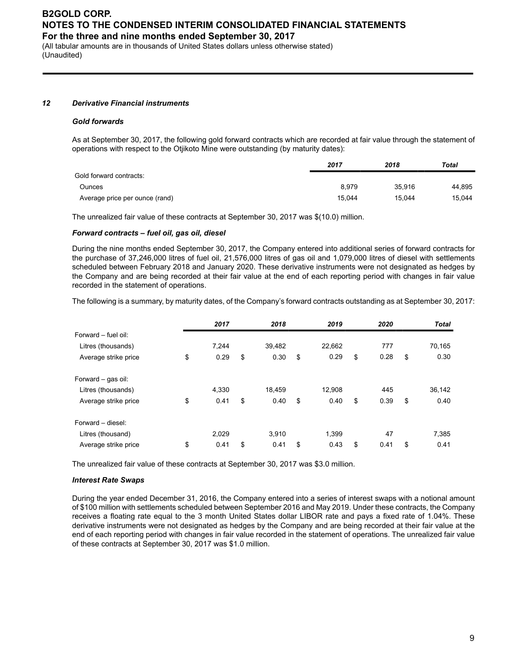(All tabular amounts are in thousands of United States dollars unless otherwise stated) (Unaudited)

#### *12 Derivative Financial instruments*

#### *Gold forwards*

As at September 30, 2017, the following gold forward contracts which are recorded at fair value through the statement of operations with respect to the Otjikoto Mine were outstanding (by maturity dates):

|                                | 2017   | 2018   | Total  |
|--------------------------------|--------|--------|--------|
| Gold forward contracts:        |        |        |        |
| Ounces                         | 8.979  | 35.916 | 44.895 |
| Average price per ounce (rand) | 15.044 | 15.044 | 15.044 |

The unrealized fair value of these contracts at September 30, 2017 was \$(10.0) million.

#### *Forward contracts – fuel oil, gas oil, diesel*

During the nine months ended September 30, 2017, the Company entered into additional series of forward contracts for the purchase of 37,246,000 litres of fuel oil, 21,576,000 litres of gas oil and 1,079,000 litres of diesel with settlements scheduled between February 2018 and January 2020. These derivative instruments were not designated as hedges by the Company and are being recorded at their fair value at the end of each reporting period with changes in fair value recorded in the statement of operations.

The following is a summary, by maturity dates, of the Company's forward contracts outstanding as at September 30, 2017:

|                      | 2017       | 2018       | 2019       | 2020       | <b>Total</b> |
|----------------------|------------|------------|------------|------------|--------------|
| Forward - fuel oil:  |            |            |            |            |              |
| Litres (thousands)   | 7,244      | 39,482     | 22,662     | 777        | 70,165       |
| Average strike price | \$<br>0.29 | \$<br>0.30 | \$<br>0.29 | \$<br>0.28 | \$<br>0.30   |
| Forward - gas oil:   |            |            |            |            |              |
| Litres (thousands)   | 4,330      | 18,459     | 12,908     | 445        | 36,142       |
| Average strike price | \$<br>0.41 | \$<br>0.40 | \$<br>0.40 | \$<br>0.39 | \$<br>0.40   |
| Forward - diesel:    |            |            |            |            |              |
| Litres (thousand)    | 2,029      | 3,910      | 1,399      | 47         | 7,385        |
| Average strike price | \$<br>0.41 | \$<br>0.41 | \$<br>0.43 | \$<br>0.41 | \$<br>0.41   |

The unrealized fair value of these contracts at September 30, 2017 was \$3.0 million.

#### *Interest Rate Swaps*

During the year ended December 31, 2016, the Company entered into a series of interest swaps with a notional amount of \$100 million with settlements scheduled between September 2016 and May 2019. Under these contracts, the Company receives a floating rate equal to the 3 month United States dollar LIBOR rate and pays a fixed rate of 1.04%. These derivative instruments were not designated as hedges by the Company and are being recorded at their fair value at the end of each reporting period with changes in fair value recorded in the statement of operations. The unrealized fair value of these contracts at September 30, 2017 was \$1.0 million.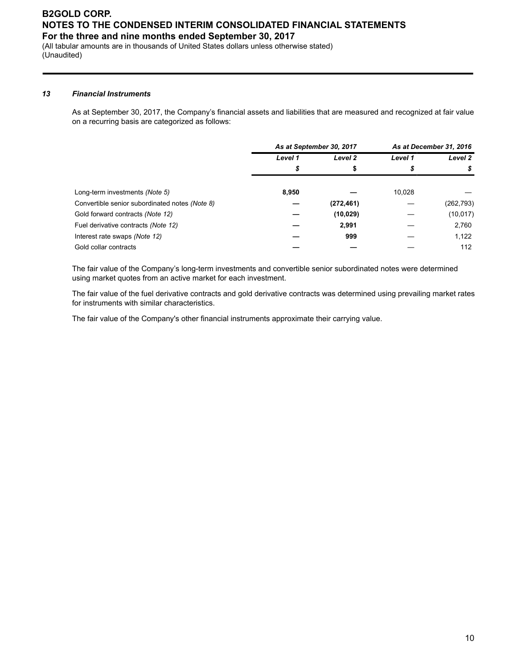(All tabular amounts are in thousands of United States dollars unless otherwise stated) (Unaudited)

#### *13 Financial Instruments*

As at September 30, 2017, the Company's financial assets and liabilities that are measured and recognized at fair value on a recurring basis are categorized as follows:

|                                                |         | As at September 30, 2017 | As at December 31, 2016 |            |
|------------------------------------------------|---------|--------------------------|-------------------------|------------|
|                                                | Level 1 | Level 2                  | Level 1                 | Level 2    |
|                                                | \$      | \$                       | S                       | S          |
| Long-term investments (Note 5)                 | 8,950   |                          | 10.028                  |            |
| Convertible senior subordinated notes (Note 8) |         | (272, 461)               |                         | (262, 793) |
| Gold forward contracts (Note 12)               |         | (10, 029)                |                         | (10, 017)  |
| Fuel derivative contracts (Note 12)            |         | 2,991                    |                         | 2,760      |
| Interest rate swaps (Note 12)                  |         | 999                      |                         | 1,122      |
| Gold collar contracts                          |         |                          |                         | 112        |

The fair value of the Company's long-term investments and convertible senior subordinated notes were determined using market quotes from an active market for each investment.

The fair value of the fuel derivative contracts and gold derivative contracts was determined using prevailing market rates for instruments with similar characteristics.

The fair value of the Company's other financial instruments approximate their carrying value.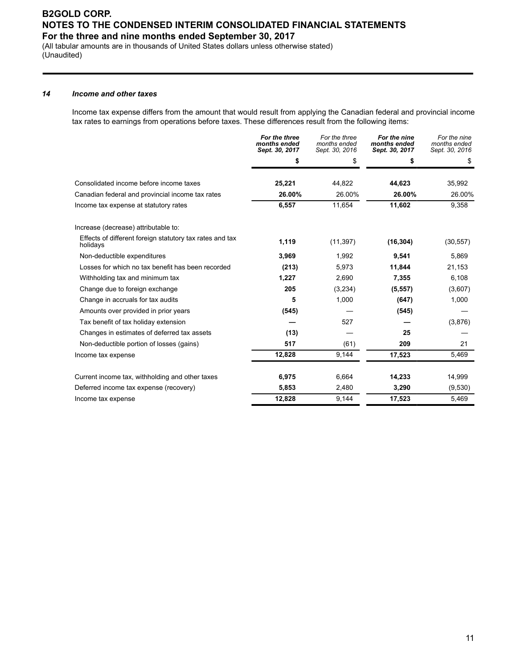(All tabular amounts are in thousands of United States dollars unless otherwise stated) (Unaudited)

#### *14 Income and other taxes*

Income tax expense differs from the amount that would result from applying the Canadian federal and provincial income tax rates to earnings from operations before taxes. These differences result from the following items:

|                                                                      | For the three<br>months ended<br>Sept. 30, 2017 | For the three<br>months ended<br>Sept. 30, 2016 | For the nine<br>months ended<br>Sept. 30, 2017 | For the nine<br>months ended<br>Sept. 30, 2016 |
|----------------------------------------------------------------------|-------------------------------------------------|-------------------------------------------------|------------------------------------------------|------------------------------------------------|
|                                                                      | \$                                              | \$                                              | \$                                             | \$                                             |
| Consolidated income before income taxes                              | 25,221                                          | 44.822                                          | 44,623                                         | 35,992                                         |
| Canadian federal and provincial income tax rates                     | 26.00%                                          | 26.00%                                          | 26.00%                                         | 26.00%                                         |
| Income tax expense at statutory rates                                | 6,557                                           | 11,654                                          | 11,602                                         | 9,358                                          |
| Increase (decrease) attributable to:                                 |                                                 |                                                 |                                                |                                                |
| Effects of different foreign statutory tax rates and tax<br>holidays | 1,119                                           | (11, 397)                                       | (16, 304)                                      | (30, 557)                                      |
| Non-deductible expenditures                                          | 3,969                                           | 1,992                                           | 9,541                                          | 5,869                                          |
| Losses for which no tax benefit has been recorded                    | (213)                                           | 5,973                                           | 11,844                                         | 21,153                                         |
| Withholding tax and minimum tax                                      | 1,227                                           | 2,690                                           | 7,355                                          | 6,108                                          |
| Change due to foreign exchange                                       | 205                                             | (3,234)                                         | (5, 557)                                       | (3,607)                                        |
| Change in accruals for tax audits                                    | 5                                               | 1,000                                           | (647)                                          | 1,000                                          |
| Amounts over provided in prior years                                 | (545)                                           |                                                 | (545)                                          |                                                |
| Tax benefit of tax holiday extension                                 |                                                 | 527                                             |                                                | (3,876)                                        |
| Changes in estimates of deferred tax assets                          | (13)                                            |                                                 | 25                                             |                                                |
| Non-deductible portion of losses (gains)                             | 517                                             | (61)                                            | 209                                            | 21                                             |
| Income tax expense                                                   | 12,828                                          | 9,144                                           | 17,523                                         | 5,469                                          |
| Current income tax, withholding and other taxes                      | 6,975                                           | 6,664                                           | 14,233                                         | 14,999                                         |
| Deferred income tax expense (recovery)                               | 5,853                                           | 2,480                                           | 3,290                                          | (9,530)                                        |
| Income tax expense                                                   | 12,828                                          | 9,144                                           | 17,523                                         | 5,469                                          |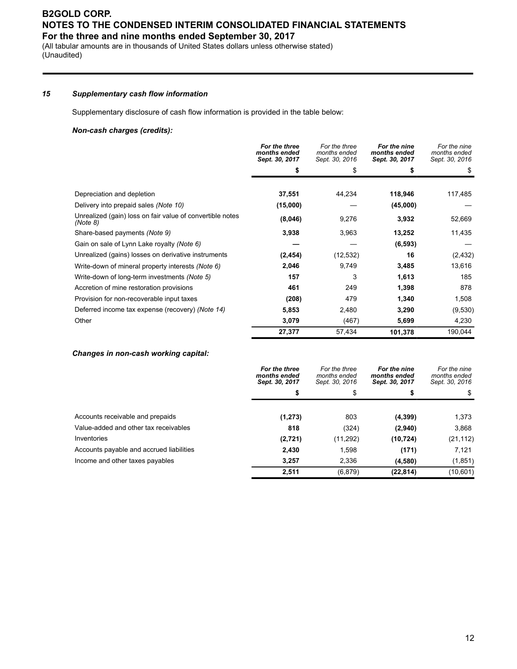(All tabular amounts are in thousands of United States dollars unless otherwise stated) (Unaudited)

#### *15 Supplementary cash flow information*

Supplementary disclosure of cash flow information is provided in the table below:

#### *Non-cash charges (credits):*

|                                                                       | For the three<br>months ended<br>Sept. 30, 2017 | For the three<br>months ended<br>Sept. 30, 2016 | For the nine<br>months ended<br>Sept. 30, 2017 | For the nine<br>months ended<br>Sept. 30, 2016 |
|-----------------------------------------------------------------------|-------------------------------------------------|-------------------------------------------------|------------------------------------------------|------------------------------------------------|
|                                                                       |                                                 | \$                                              |                                                | \$                                             |
|                                                                       |                                                 |                                                 |                                                |                                                |
| Depreciation and depletion                                            | 37,551                                          | 44,234                                          | 118,946                                        | 117,485                                        |
| Delivery into prepaid sales (Note 10)                                 | (15,000)                                        |                                                 | (45,000)                                       |                                                |
| Unrealized (gain) loss on fair value of convertible notes<br>(Note 8) | (8,046)                                         | 9,276                                           | 3,932                                          | 52,669                                         |
| Share-based payments (Note 9)                                         | 3,938                                           | 3,963                                           | 13,252                                         | 11,435                                         |
| Gain on sale of Lynn Lake royalty (Note 6)                            |                                                 |                                                 | (6, 593)                                       |                                                |
| Unrealized (gains) losses on derivative instruments                   | (2, 454)                                        | (12, 532)                                       | 16                                             | (2, 432)                                       |
| Write-down of mineral property interests (Note 6)                     | 2,046                                           | 9,749                                           | 3,485                                          | 13,616                                         |
| Write-down of long-term investments (Note 5)                          | 157                                             | 3                                               | 1,613                                          | 185                                            |
| Accretion of mine restoration provisions                              | 461                                             | 249                                             | 1,398                                          | 878                                            |
| Provision for non-recoverable input taxes                             | (208)                                           | 479                                             | 1,340                                          | 1,508                                          |
| Deferred income tax expense (recovery) (Note 14)                      | 5,853                                           | 2,480                                           | 3,290                                          | (9,530)                                        |
| Other                                                                 | 3,079                                           | (467)                                           | 5,699                                          | 4,230                                          |
|                                                                       | 27,377                                          | 57,434                                          | 101,378                                        | 190,044                                        |

#### *Changes in non-cash working capital:*

|                                          | For the three<br>months ended<br>Sept. 30, 2017 | For the three<br>months ended<br>Sept. 30, 2016 | For the nine<br>months ended<br>Sept. 30, 2017 | For the nine<br>months ended<br>Sept. 30, 2016 |
|------------------------------------------|-------------------------------------------------|-------------------------------------------------|------------------------------------------------|------------------------------------------------|
|                                          | s                                               | \$                                              |                                                | \$                                             |
| Accounts receivable and prepaids         | (1, 273)                                        | 803                                             | (4, 399)                                       | 1,373                                          |
| Value-added and other tax receivables    | 818                                             | (324)                                           | (2,940)                                        | 3,868                                          |
| Inventories                              | (2,721)                                         | (11, 292)                                       | (10, 724)                                      | (21, 112)                                      |
| Accounts payable and accrued liabilities | 2.430                                           | 1,598                                           | (171)                                          | 7,121                                          |
| Income and other taxes payables          | 3,257                                           | 2,336                                           | (4,580)                                        | (1, 851)                                       |
|                                          | 2,511                                           | (6,879)                                         | (22, 814)                                      | (10,601)                                       |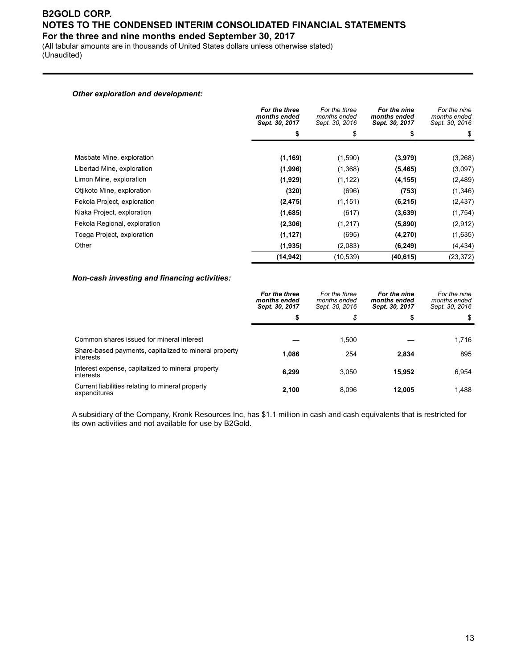(All tabular amounts are in thousands of United States dollars unless otherwise stated) (Unaudited)

#### *Other exploration and development:*

|                              | For the three<br>months ended<br>Sept. 30, 2017 | For the three<br>months ended<br>Sept. 30, 2016 | For the nine<br>months ended<br>Sept. 30, 2017 | For the nine<br>months ended<br>Sept. 30, 2016 |
|------------------------------|-------------------------------------------------|-------------------------------------------------|------------------------------------------------|------------------------------------------------|
|                              | S                                               | \$                                              |                                                | \$                                             |
| Masbate Mine, exploration    | (1, 169)                                        | (1,590)                                         | (3,979)                                        | (3,268)                                        |
| Libertad Mine, exploration   | (1,996)                                         | (1,368)                                         | (5, 465)                                       | (3,097)                                        |
| Limon Mine, exploration      | (1,929)                                         | (1, 122)                                        | (4, 155)                                       | (2, 489)                                       |
| Otjikoto Mine, exploration   | (320)                                           | (696)                                           | (753)                                          | (1, 346)                                       |
| Fekola Project, exploration  | (2, 475)                                        | (1, 151)                                        | (6, 215)                                       | (2, 437)                                       |
| Kiaka Project, exploration   | (1,685)                                         | (617)                                           | (3,639)                                        | (1, 754)                                       |
| Fekola Regional, exploration | (2,306)                                         | (1,217)                                         | (5,890)                                        | (2,912)                                        |
| Toega Project, exploration   | (1, 127)                                        | (695)                                           | (4,270)                                        | (1,635)                                        |
| Other                        | (1,935)                                         | (2,083)                                         | (6, 249)                                       | (4, 434)                                       |
|                              | (14, 942)                                       | (10, 539)                                       | (40, 615)                                      | (23, 372)                                      |

#### *Non-cash investing and financing activities:*

|                                                                    | For the three<br>months ended<br>Sept. 30, 2017 | For the three<br>months ended<br>Sept. 30, 2016 | For the nine<br>months ended<br>Sept. 30, 2017 | For the nine<br>months ended<br>Sept. 30, 2016 |
|--------------------------------------------------------------------|-------------------------------------------------|-------------------------------------------------|------------------------------------------------|------------------------------------------------|
|                                                                    | S                                               | \$                                              | æ                                              | \$                                             |
|                                                                    |                                                 |                                                 |                                                |                                                |
| Common shares issued for mineral interest                          |                                                 | 1.500                                           |                                                | 1,716                                          |
| Share-based payments, capitalized to mineral property<br>interests | 1.086                                           | 254                                             | 2,834                                          | 895                                            |
| Interest expense, capitalized to mineral property<br>interests     | 6.299                                           | 3,050                                           | 15.952                                         | 6.954                                          |
| Current liabilities relating to mineral property<br>expenditures   | 2.100                                           | 8.096                                           | 12.005                                         | 1,488                                          |

A subsidiary of the Company, Kronk Resources Inc, has \$1.1 million in cash and cash equivalents that is restricted for its own activities and not available for use by B2Gold.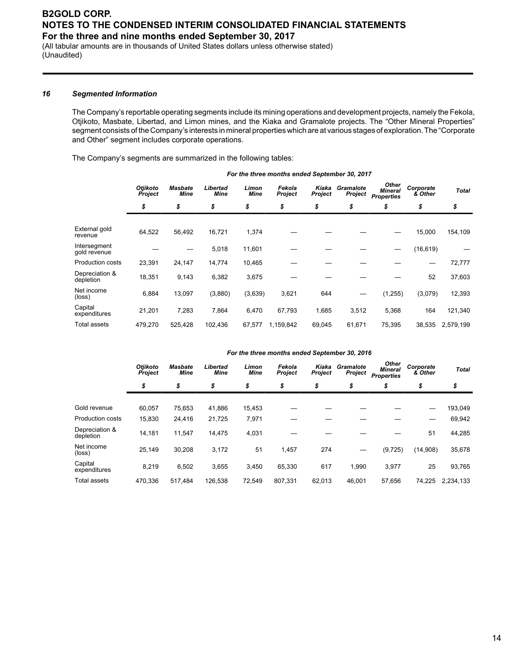(All tabular amounts are in thousands of United States dollars unless otherwise stated) (Unaudited)

#### *16 Segmented Information*

The Company's reportable operating segments include its mining operations and development projects, namely the Fekola, Otjikoto, Masbate, Libertad, and Limon mines, and the Kiaka and Gramalote projects. The "Other Mineral Properties" segment consists of the Company's interests in mineral properties which are at various stages of exploration. The "Corporate and Other" segment includes corporate operations.

The Company's segments are summarized in the following tables:

|                              | <b>Otjikoto</b><br><b>Project</b> | <b>Masbate</b><br>Mine | Libertad<br><b>Mine</b> | Limon<br>Mine | Fekola<br><b>Project</b> | Kiaka<br>Project | Gramalote<br>Project | <b>Other</b><br><b>Mineral</b><br><b>Properties</b> | Corporate<br>& Other | <b>Total</b> |  |
|------------------------------|-----------------------------------|------------------------|-------------------------|---------------|--------------------------|------------------|----------------------|-----------------------------------------------------|----------------------|--------------|--|
|                              | \$                                | \$                     | \$                      | \$            | \$                       | \$               | \$                   | \$                                                  | \$                   | \$           |  |
| External gold<br>revenue     | 64,522                            | 56,492                 | 16,721                  | 1,374         |                          |                  |                      |                                                     | 15,000               | 154,109      |  |
| Intersegment<br>gold revenue |                                   |                        | 5,018                   | 11,601        |                          |                  |                      |                                                     | (16, 619)            |              |  |
| Production costs             | 23,391                            | 24,147                 | 14,774                  | 10,465        |                          |                  |                      |                                                     |                      | 72,777       |  |
| Depreciation &<br>depletion  | 18,351                            | 9,143                  | 6,382                   | 3,675         |                          |                  |                      |                                                     | 52                   | 37,603       |  |
| Net income<br>(loss)         | 6,884                             | 13,097                 | (3,880)                 | (3,639)       | 3,621                    | 644              |                      | (1, 255)                                            | (3,079)              | 12,393       |  |
| Capital<br>expenditures      | 21,201                            | 7,283                  | 7,864                   | 6,470         | 67,793                   | 1,685            | 3,512                | 5,368                                               | 164                  | 121,340      |  |
| <b>Total assets</b>          | 479,270                           | 525,428                | 102,436                 | 67,577        | 1,159,842                | 69,045           | 61,671               | 75,395                                              | 38,535               | 2,579,199    |  |

*For the three months ended September 30, 2017*

#### *For the three months ended September 30, 2016*

|                             | Otjikoto<br>Project | <b>Masbate</b><br>Mine | Libertad<br><b>Mine</b> | Limon<br><b>Mine</b> | Fekola<br><b>Project</b> | Kiaka<br><b>Project</b> | Gramalote<br>Project | <b>Other</b><br><b>Mineral</b><br><b>Properties</b> | Corporate<br>& Other | <b>Total</b> |
|-----------------------------|---------------------|------------------------|-------------------------|----------------------|--------------------------|-------------------------|----------------------|-----------------------------------------------------|----------------------|--------------|
|                             | \$                  | \$                     | \$                      | \$                   | \$                       | \$                      | \$                   | \$                                                  | \$                   | \$           |
| Gold revenue                | 60.057              | 75,653                 | 41,886                  | 15,453               |                          |                         |                      |                                                     |                      | 193,049      |
| Production costs            | 15,830              | 24,416                 | 21,725                  | 7,971                |                          |                         |                      |                                                     |                      | 69,942       |
| Depreciation &<br>depletion | 14,181              | 11,547                 | 14,475                  | 4,031                |                          |                         |                      |                                                     | 51                   | 44,285       |
| Net income<br>(loss)        | 25,149              | 30,208                 | 3,172                   | 51                   | 1,457                    | 274                     |                      | (9, 725)                                            | (14,908)             | 35,678       |
| Capital<br>expenditures     | 8,219               | 6,502                  | 3,655                   | 3,450                | 65,330                   | 617                     | 1,990                | 3,977                                               | 25                   | 93,765       |
| Total assets                | 470.336             | 517.484                | 126,538                 | 72.549               | 807.331                  | 62.013                  | 46.001               | 57.656                                              | 74,225               | 2,234,133    |
|                             |                     |                        |                         |                      |                          |                         |                      |                                                     |                      |              |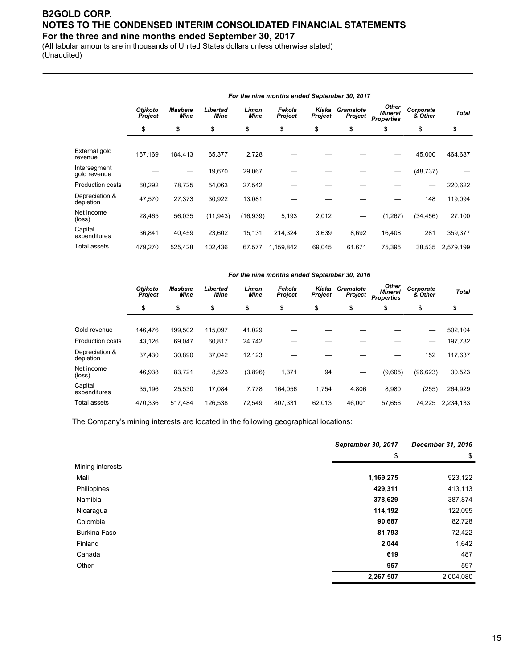(All tabular amounts are in thousands of United States dollars unless otherwise stated) (Unaudited)

|                              |                     | For the nine months ended September 30, 2017 |                  |               |                   |                  |                      |                                                     |                      |              |  |  |  |  |
|------------------------------|---------------------|----------------------------------------------|------------------|---------------|-------------------|------------------|----------------------|-----------------------------------------------------|----------------------|--------------|--|--|--|--|
|                              | Otjikoto<br>Project | <b>Masbate</b><br>Mine                       | Libertad<br>Mine | Limon<br>Mine | Fekola<br>Project | Kiaka<br>Project | Gramalote<br>Project | <b>Other</b><br><b>Mineral</b><br><b>Properties</b> | Corporate<br>& Other | <b>Total</b> |  |  |  |  |
|                              | \$                  | \$                                           | \$               | \$            | \$                | \$               | \$                   | \$                                                  | \$                   | \$           |  |  |  |  |
| External gold<br>revenue     | 167,169             | 184,413                                      | 65,377           | 2,728         |                   |                  |                      |                                                     | 45,000               | 464,687      |  |  |  |  |
| Intersegment<br>gold revenue |                     |                                              | 19,670           | 29,067        |                   |                  |                      |                                                     | (48, 737)            |              |  |  |  |  |
| Production costs             | 60,292              | 78,725                                       | 54,063           | 27,542        |                   |                  |                      |                                                     |                      | 220,622      |  |  |  |  |
| Depreciation &<br>depletion  | 47,570              | 27,373                                       | 30,922           | 13,081        |                   |                  |                      |                                                     | 148                  | 119,094      |  |  |  |  |
| Net income<br>(loss)         | 28,465              | 56,035                                       | (11, 943)        | (16, 939)     | 5,193             | 2,012            |                      | (1, 267)                                            | (34, 456)            | 27,100       |  |  |  |  |
| Capital<br>expenditures      | 36,841              | 40,459                                       | 23,602           | 15,131        | 214,324           | 3,639            | 8,692                | 16,408                                              | 281                  | 359,377      |  |  |  |  |
| Total assets                 | 479,270             | 525,428                                      | 102,436          | 67,577        | 1,159,842         | 69,045           | 61,671               | 75,395                                              | 38,535               | 2,579,199    |  |  |  |  |

#### *For the nine months ended September 30, 2016*

|                               | Otjikoto<br><b>Project</b> | <b>Masbate</b><br><b>Mine</b> | Libertad<br><b>Mine</b> | Limon<br><b>Mine</b> | Fekola<br><b>Project</b> | Kiaka<br><b>Project</b> | Gramalote<br>Project | <b>Other</b><br><b>Mineral</b><br><b>Properties</b> | Corporate<br>& Other | <b>Total</b> |
|-------------------------------|----------------------------|-------------------------------|-------------------------|----------------------|--------------------------|-------------------------|----------------------|-----------------------------------------------------|----------------------|--------------|
|                               | \$                         | \$                            | \$                      | \$                   | \$                       | \$                      | \$                   | \$                                                  | \$                   | \$           |
|                               |                            |                               |                         |                      |                          |                         |                      |                                                     |                      |              |
| Gold revenue                  | 146,476                    | 199.502                       | 115.097                 | 41,029               |                          |                         |                      |                                                     |                      | 502,104      |
| <b>Production costs</b>       | 43,126                     | 69.047                        | 60.817                  | 24,742               |                          |                         |                      |                                                     |                      | 197,732      |
| Depreciation &<br>depletion   | 37,430                     | 30,890                        | 37,042                  | 12,123               |                          |                         |                      |                                                     | 152                  | 117,637      |
| Net income<br>$(\text{loss})$ | 46,938                     | 83,721                        | 8,523                   | (3,896)              | 1,371                    | 94                      |                      | (9,605)                                             | (96, 623)            | 30,523       |
| Capital<br>expenditures       | 35,196                     | 25,530                        | 17.084                  | 7,778                | 164.056                  | 1,754                   | 4,806                | 8,980                                               | (255)                | 264,929      |
| Total assets                  | 470.336                    | 517.484                       | 126,538                 | 72.549               | 807.331                  | 62.013                  | 46.001               | 57.656                                              | 74.225               | 2,234,133    |

The Company's mining interests are located in the following geographical locations:

|                  | September 30, 2017 | December 31, 2016 |
|------------------|--------------------|-------------------|
|                  | \$                 | \$                |
| Mining interests |                    |                   |
| Mali             | 1,169,275          | 923,122           |
| Philippines      | 429,311            | 413,113           |
| Namibia          | 378,629            | 387,874           |
| Nicaragua        | 114,192            | 122,095           |
| Colombia         | 90,687             | 82,728            |
| Burkina Faso     | 81,793             | 72,422            |
| Finland          | 2,044              | 1,642             |
| Canada           | 619                | 487               |
| Other            | 957                | 597               |
|                  | 2,267,507          | 2,004,080         |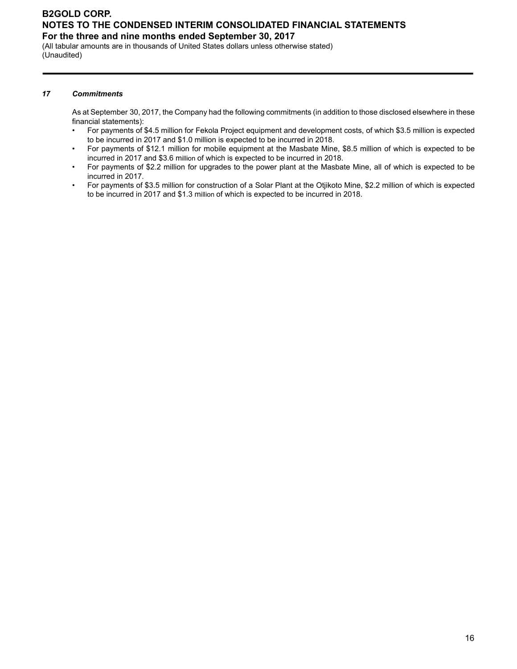(All tabular amounts are in thousands of United States dollars unless otherwise stated) (Unaudited)

#### *17 Commitments*

As at September 30, 2017, the Company had the following commitments (in addition to those disclosed elsewhere in these financial statements):

- For payments of \$4.5 million for Fekola Project equipment and development costs, of which \$3.5 million is expected to be incurred in 2017 and \$1.0 million is expected to be incurred in 2018.
- For payments of \$12.1 million for mobile equipment at the Masbate Mine, \$8.5 million of which is expected to be incurred in 2017 and \$3.6 million of which is expected to be incurred in 2018.
- For payments of \$2.2 million for upgrades to the power plant at the Masbate Mine, all of which is expected to be incurred in 2017.
- For payments of \$3.5 million for construction of a Solar Plant at the Otjikoto Mine, \$2.2 million of which is expected to be incurred in 2017 and \$1.3 million of which is expected to be incurred in 2018.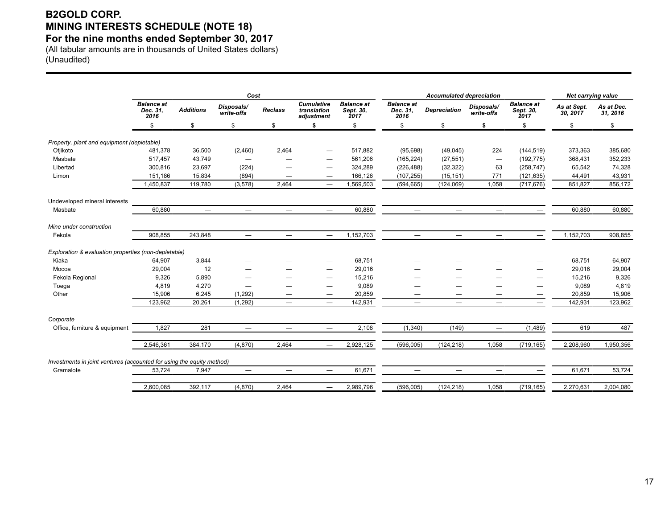# **B2GOLD CORP. MINING INTERESTS SCHEDULE (NOTE 18)**

**For the nine months ended September 30, 2017**

(All tabular amounts are in thousands of United States dollars) (Unaudited)

|                                                                                    |                                       |                          | Cost                     |                          |                                                |                                        |                                       | <b>Accumulated depreciation</b> | <b>Net carrying value</b> |                                        |                         |                        |
|------------------------------------------------------------------------------------|---------------------------------------|--------------------------|--------------------------|--------------------------|------------------------------------------------|----------------------------------------|---------------------------------------|---------------------------------|---------------------------|----------------------------------------|-------------------------|------------------------|
|                                                                                    | <b>Balance at</b><br>Dec. 31,<br>2016 | <b>Additions</b>         | Disposals/<br>write-offs | <b>Reclass</b>           | <b>Cumulative</b><br>translation<br>adjustment | <b>Balance at</b><br>Sept. 30,<br>2017 | <b>Balance at</b><br>Dec. 31,<br>2016 | <b>Depreciation</b>             | Disposals/<br>write-offs  | <b>Balance at</b><br>Sept. 30,<br>2017 | As at Sept.<br>30, 2017 | As at Dec.<br>31, 2016 |
|                                                                                    | \$                                    | \$                       | \$                       | \$                       | \$                                             | \$                                     | \$                                    | \$                              | \$                        | \$                                     | \$                      | \$                     |
| Property, plant and equipment (depletable)                                         |                                       |                          |                          |                          |                                                |                                        |                                       |                                 |                           |                                        |                         |                        |
| Otjikoto                                                                           | 481,378                               | 36,500                   | (2,460)                  | 2,464                    |                                                | 517,882                                | (95, 698)                             | (49, 045)                       | 224                       | (144, 519)                             | 373,363                 | 385,680                |
| Masbate                                                                            | 517,457                               | 43,749                   | $\hspace{0.05cm}$        | —                        |                                                | 561,206                                | (165, 224)                            | (27, 551)                       |                           | (192, 775)                             | 368,431                 | 352,233                |
| Libertad                                                                           | 300,816                               | 23,697                   | (224)                    |                          |                                                | 324,289                                | (226, 488)                            | (32, 322)                       | 63                        | (258, 747)                             | 65,542                  | 74,328                 |
| Limon                                                                              | 151,186                               | 15,834                   | (894)                    |                          | $\overline{\phantom{0}}$                       | 166,126                                | (107, 255)                            | (15, 151)                       | 771                       | (121, 635)                             | 44,491                  | 43,931                 |
|                                                                                    | 1,450,837                             | 119,780                  | (3, 578)                 | 2,464                    |                                                | 1,569,503                              | (594, 665)                            | (124, 069)                      | 1,058                     | (717, 676)                             | 851,827                 | 856,172                |
| Undeveloped mineral interests                                                      |                                       |                          |                          |                          |                                                |                                        |                                       |                                 |                           |                                        |                         |                        |
| Masbate                                                                            | 60,880                                | $\overline{\phantom{m}}$ | $\qquad \qquad -$        |                          | $\qquad \qquad -$                              | 60,880                                 | $\overline{\phantom{m}}$              | $\overline{\phantom{0}}$        | $\overline{\phantom{m}}$  | $\hspace{0.05cm}$                      | 60,880                  | 60,880                 |
| Mine under construction                                                            |                                       |                          |                          |                          |                                                |                                        |                                       |                                 |                           |                                        |                         |                        |
| Fekola                                                                             | 908,855                               | 243,848                  | $=$                      | $-$                      | $\equiv$                                       | 1,152,703                              | $=$                                   | $\overline{\phantom{0}}$        | $\equiv$                  |                                        | 1,152,703               | 908,855                |
| Exploration & evaluation properties (non-depletable)                               |                                       |                          |                          |                          |                                                |                                        |                                       |                                 |                           |                                        |                         |                        |
| Kiaka                                                                              | 64,907                                | 3,844                    |                          |                          |                                                | 68,751                                 |                                       |                                 |                           |                                        | 68,751                  | 64,907                 |
| Mocoa                                                                              | 29,004                                | 12                       |                          |                          |                                                | 29,016                                 |                                       |                                 |                           |                                        | 29,016                  | 29,004                 |
| Fekola Regional                                                                    | 9,326                                 | 5,890                    |                          |                          |                                                | 15,216                                 |                                       |                                 |                           |                                        | 15,216                  | 9,326                  |
| Toega                                                                              | 4,819                                 | 4,270                    |                          |                          |                                                | 9,089                                  |                                       |                                 |                           |                                        | 9,089                   | 4,819                  |
| Other                                                                              | 15,906                                | 6,245                    | (1,292)                  |                          |                                                | 20,859                                 |                                       |                                 |                           |                                        | 20,859                  | 15,906                 |
|                                                                                    | 123,962                               | 20,261                   | (1,292)                  | $\overline{\phantom{m}}$ | $\qquad \qquad -$                              | 142,931                                | $\overline{\phantom{m}}$              | $\qquad \qquad \longleftarrow$  | $\overline{\phantom{m}}$  | $\hspace{0.1mm}-\hspace{0.1mm}$        | 142,931                 | 123,962                |
| Corporate                                                                          |                                       |                          |                          |                          |                                                |                                        |                                       |                                 |                           |                                        |                         |                        |
| Office, furniture & equipment                                                      | 1,827                                 | 281                      | $\equiv$                 | $\overline{\phantom{0}}$ | $\equiv$                                       | 2,108                                  | (1,340)                               | (149)                           | $\qquad \qquad -$         | (1,489)                                | 619                     | 487                    |
|                                                                                    | 2,546,361                             | 384,170                  | (4,870)                  | 2,464                    | $\qquad \qquad -$                              | 2,928,125                              | (596,005)                             | (124, 218)                      | 1,058                     | (719, 165)                             | 2,208,960               | 1,950,356              |
|                                                                                    |                                       |                          |                          |                          |                                                |                                        |                                       |                                 |                           |                                        |                         |                        |
| Investments in joint ventures (accounted for using the equity method)<br>Gramalote | 53,724                                | 7,947                    |                          | $\overline{\phantom{0}}$ |                                                | 61,671                                 | $\overline{\phantom{0}}$              | $\overline{\phantom{0}}$        |                           |                                        | 61,671                  | 53,724                 |
|                                                                                    |                                       |                          |                          |                          |                                                |                                        |                                       |                                 |                           |                                        |                         |                        |
|                                                                                    | 2,600,085                             | 392.117                  | (4,870)                  | 2,464                    | $\overline{\phantom{0}}$                       | 2,989,796                              | (596,005)                             | (124, 218)                      | 1,058                     | (719, 165)                             | 2,270,631               | 2,004,080              |